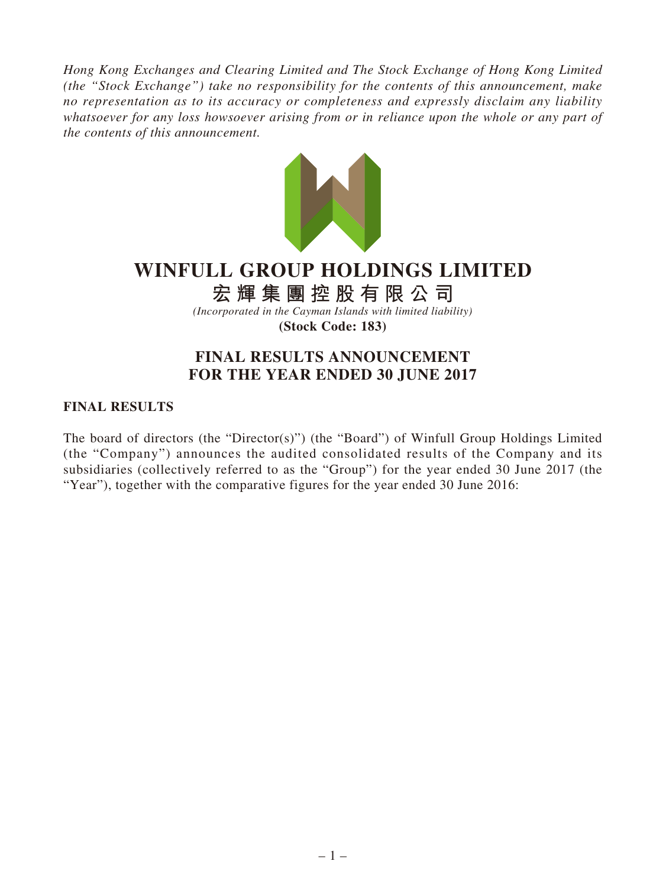*Hong Kong Exchanges and Clearing Limited and The Stock Exchange of Hong Kong Limited (the "Stock Exchange") take no responsibility for the contents of this announcement, make no representation as to its accuracy or completeness and expressly disclaim any liability whatsoever for any loss howsoever arising from or in reliance upon the whole or any part of the contents of this announcement.*



# **WINFULL GROUP HOLDINGS LIMITED**

**宏輝集團控股有限公司**

*(Incorporated in the Cayman Islands with limited liability)* **(Stock Code: 183)**

# **FINAL RESULTS ANNOUNCEMENT FOR THE YEAR ENDED 30 JUNE 2017**

### **FINAL RESULTS**

The board of directors (the "Director(s)") (the "Board") of Winfull Group Holdings Limited (the "Company") announces the audited consolidated results of the Company and its subsidiaries (collectively referred to as the "Group") for the year ended 30 June 2017 (the "Year"), together with the comparative figures for the year ended 30 June 2016: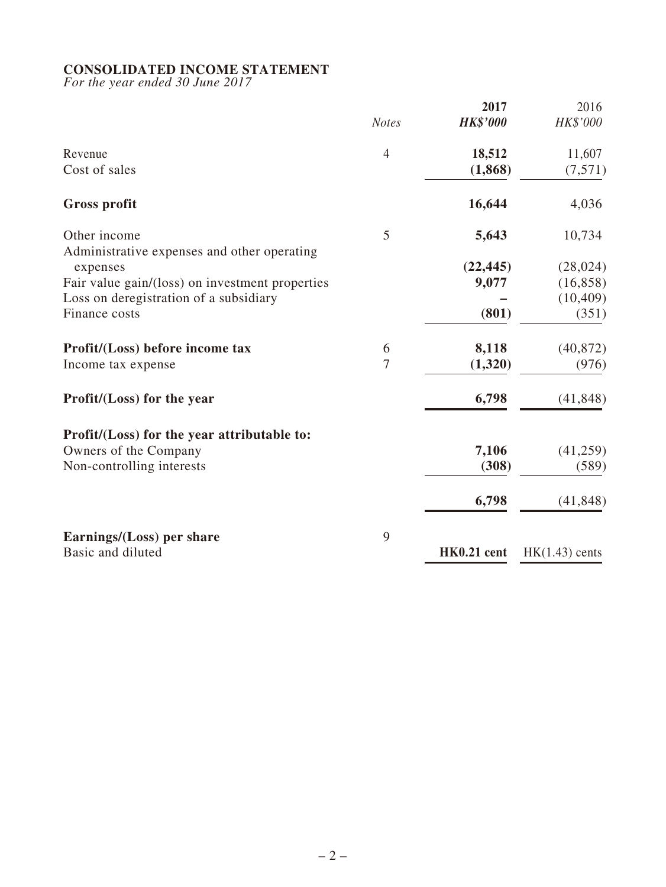### **CONSOLIDATED INCOME STATEMENT**

*For the year ended 30 June 2017*

|                                                             | <b>Notes</b>   | 2017<br><b>HK\$'000</b> | 2016<br>HK\$'000  |
|-------------------------------------------------------------|----------------|-------------------------|-------------------|
| Revenue<br>Cost of sales                                    | $\overline{4}$ | 18,512<br>(1, 868)      | 11,607<br>(7,571) |
| <b>Gross profit</b>                                         |                | 16,644                  | 4,036             |
| Other income<br>Administrative expenses and other operating | 5              | 5,643                   | 10,734            |
| expenses                                                    |                | (22, 445)               | (28, 024)         |
| Fair value gain/(loss) on investment properties             |                | 9,077                   | (16, 858)         |
| Loss on deregistration of a subsidiary                      |                |                         | (10, 409)         |
| Finance costs                                               |                | (801)                   | (351)             |
| Profit/(Loss) before income tax                             | 6              | 8,118                   | (40, 872)         |
| Income tax expense                                          | 7              | (1,320)                 | (976)             |
| Profit/(Loss) for the year                                  |                | 6,798                   | (41, 848)         |
| Profit/(Loss) for the year attributable to:                 |                |                         |                   |
| Owners of the Company                                       |                | 7,106                   | (41,259)          |
| Non-controlling interests                                   |                | (308)                   | (589)             |
|                                                             |                | 6,798                   | (41, 848)         |
| Earnings/(Loss) per share                                   | 9              |                         |                   |
| Basic and diluted                                           |                | HK0.21 cent             | $HK(1.43)$ cents  |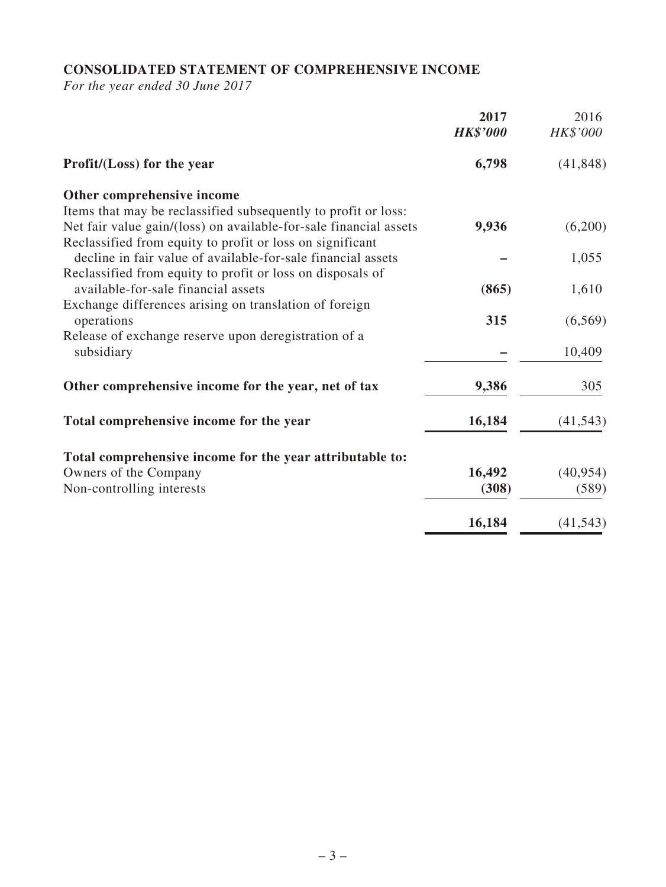# **CONSOLIDATED STATEMENT OF COMPREHENSIVE INCOME**

*For the year ended 30 June 2017*

|                                                                                                                                                                                                  | 2017<br><b>HK\$'000</b> | 2016<br>HK\$'000 |
|--------------------------------------------------------------------------------------------------------------------------------------------------------------------------------------------------|-------------------------|------------------|
| Profit/(Loss) for the year                                                                                                                                                                       | 6,798                   | (41, 848)        |
| Other comprehensive income                                                                                                                                                                       |                         |                  |
| Items that may be reclassified subsequently to profit or loss:<br>Net fair value gain/(loss) on available-for-sale financial assets<br>Reclassified from equity to profit or loss on significant | 9,936                   | (6,200)          |
| decline in fair value of available-for-sale financial assets                                                                                                                                     |                         | 1,055            |
| Reclassified from equity to profit or loss on disposals of<br>available-for-sale financial assets                                                                                                | (865)                   | 1,610            |
| Exchange differences arising on translation of foreign<br>operations                                                                                                                             | 315                     | (6, 569)         |
| Release of exchange reserve upon deregistration of a<br>subsidiary                                                                                                                               |                         | 10,409           |
| Other comprehensive income for the year, net of tax                                                                                                                                              | 9,386                   | 305              |
| Total comprehensive income for the year                                                                                                                                                          | 16,184                  | (41, 543)        |
| Total comprehensive income for the year attributable to:                                                                                                                                         |                         |                  |
| Owners of the Company                                                                                                                                                                            | 16,492                  | (40, 954)        |
| Non-controlling interests                                                                                                                                                                        | (308)                   | (589)            |
|                                                                                                                                                                                                  | 16,184                  | (41, 543)        |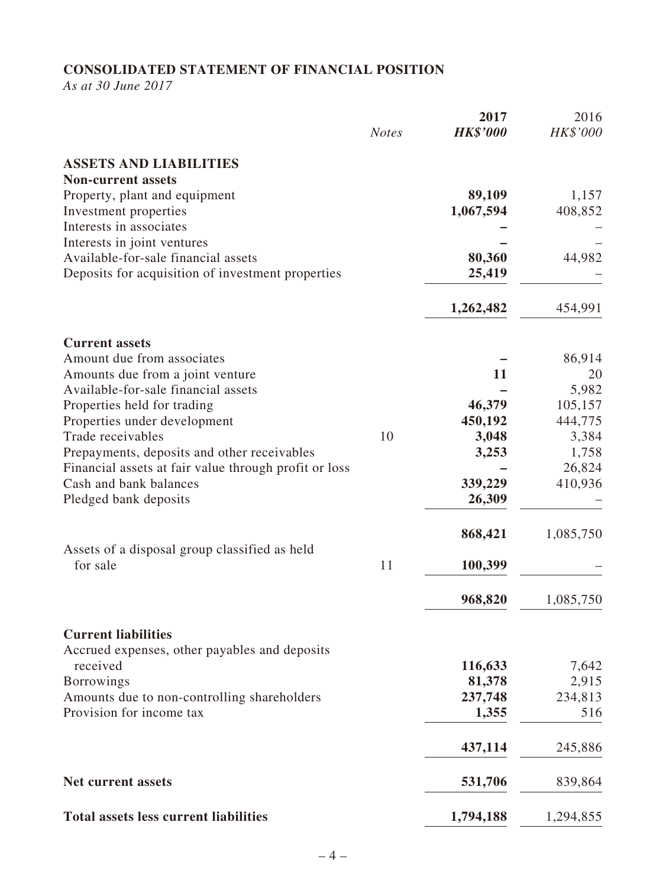# **CONSOLIDATED STATEMENT OF FINANCIAL POSITION**

*As at 30 June 2017*

|                                                       | <b>Notes</b> | 2017<br><b>HK\$'000</b> | 2016<br>HK\$'000 |
|-------------------------------------------------------|--------------|-------------------------|------------------|
| <b>ASSETS AND LIABILITIES</b>                         |              |                         |                  |
| <b>Non-current assets</b>                             |              |                         |                  |
| Property, plant and equipment                         |              | 89,109                  | 1,157            |
| Investment properties                                 |              | 1,067,594               | 408,852          |
| Interests in associates                               |              |                         |                  |
| Interests in joint ventures                           |              |                         |                  |
| Available-for-sale financial assets                   |              | 80,360                  | 44,982           |
| Deposits for acquisition of investment properties     |              | 25,419                  |                  |
|                                                       |              | 1,262,482               | 454,991          |
| <b>Current assets</b>                                 |              |                         |                  |
| Amount due from associates                            |              |                         | 86,914           |
| Amounts due from a joint venture                      |              | 11                      | 20               |
| Available-for-sale financial assets                   |              |                         | 5,982            |
| Properties held for trading                           |              | 46,379                  | 105,157          |
| Properties under development                          |              | 450,192                 | 444,775          |
| Trade receivables                                     | 10           | 3,048                   | 3,384            |
| Prepayments, deposits and other receivables           |              | 3,253                   | 1,758            |
| Financial assets at fair value through profit or loss |              |                         | 26,824           |
| Cash and bank balances                                |              | 339,229                 | 410,936          |
| Pledged bank deposits                                 |              | 26,309                  |                  |
|                                                       |              | 868,421                 | 1,085,750        |
| Assets of a disposal group classified as held         |              |                         |                  |
| for sale                                              | 11           | 100,399                 |                  |
|                                                       |              | 968,820                 | 1,085,750        |
| <b>Current liabilities</b>                            |              |                         |                  |
| Accrued expenses, other payables and deposits         |              |                         |                  |
| received                                              |              | 116,633                 | 7,642            |
| <b>Borrowings</b>                                     |              | 81,378                  | 2,915            |
| Amounts due to non-controlling shareholders           |              | 237,748                 | 234,813          |
| Provision for income tax                              |              | 1,355                   | 516              |
|                                                       |              | 437,114                 | 245,886          |
| <b>Net current assets</b>                             |              | 531,706                 | 839,864          |
|                                                       |              |                         |                  |
| <b>Total assets less current liabilities</b>          |              | 1,794,188               | 1,294,855        |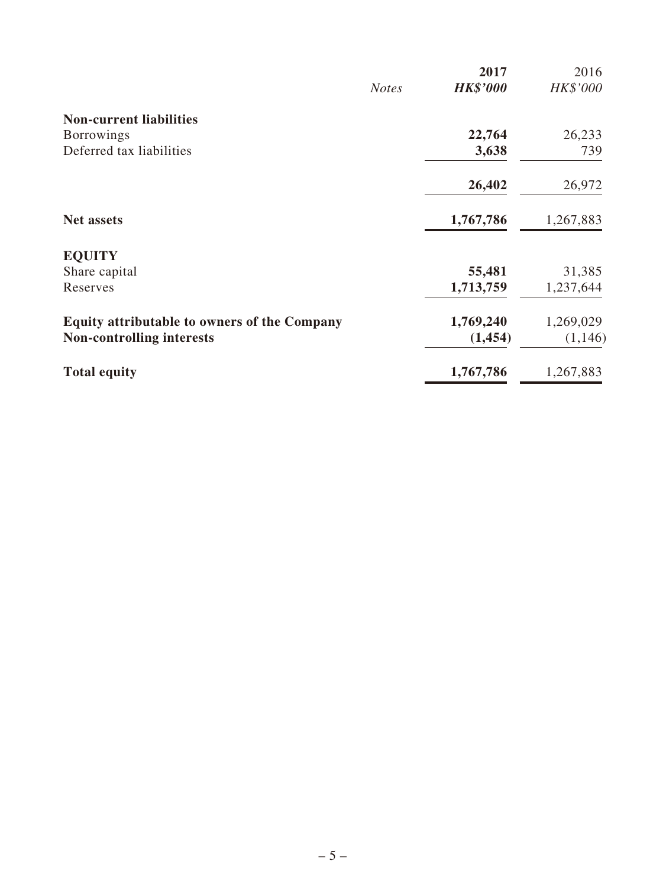|                                                     |              | 2017            | 2016      |
|-----------------------------------------------------|--------------|-----------------|-----------|
|                                                     | <b>Notes</b> | <b>HK\$'000</b> | HK\$'000  |
| <b>Non-current liabilities</b>                      |              |                 |           |
| <b>Borrowings</b>                                   |              | 22,764          | 26,233    |
| Deferred tax liabilities                            |              | 3,638           | 739       |
|                                                     |              | 26,402          | 26,972    |
| <b>Net assets</b>                                   |              | 1,767,786       | 1,267,883 |
| <b>EQUITY</b>                                       |              |                 |           |
| Share capital                                       |              | 55,481          | 31,385    |
| Reserves                                            |              | 1,713,759       | 1,237,644 |
| <b>Equity attributable to owners of the Company</b> |              | 1,769,240       | 1,269,029 |
| <b>Non-controlling interests</b>                    |              | (1, 454)        | (1,146)   |
| <b>Total equity</b>                                 |              | 1,767,786       | 1,267,883 |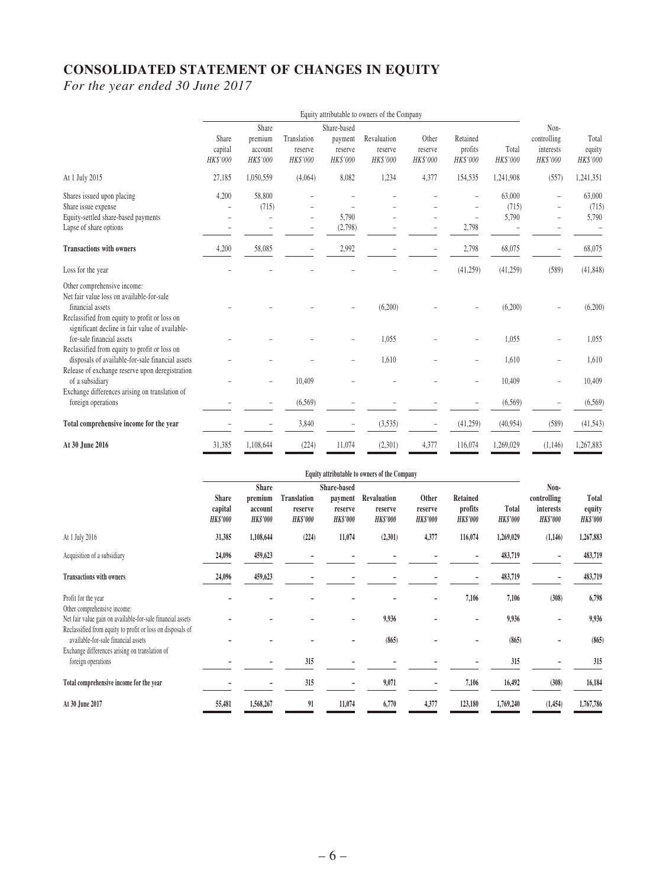# **CONSOLIDATED STATEMENT OF CHANGES IN EQUITY**

*For the year ended 30 June 2017*

|                                                                                                                                                      | Equity attributable to owners of the Company |                                         |                                    |                                               |                                    |                              |                                 |                          |                                              |                             |
|------------------------------------------------------------------------------------------------------------------------------------------------------|----------------------------------------------|-----------------------------------------|------------------------------------|-----------------------------------------------|------------------------------------|------------------------------|---------------------------------|--------------------------|----------------------------------------------|-----------------------------|
|                                                                                                                                                      | Share<br>capital<br>HK\$'000                 | Share<br>premium<br>account<br>HK\$'000 | Translation<br>reserve<br>HK\$'000 | Share-based<br>payment<br>reserve<br>HK\$'000 | Revaluation<br>reserve<br>HK\$'000 | Other<br>reserve<br>HK\$'000 | Retained<br>profits<br>HK\$'000 | Total<br>HK\$'000        | Non-<br>controlling<br>interests<br>HK\$'000 | Total<br>equity<br>HK\$'000 |
| At 1 July 2015                                                                                                                                       | 27,185                                       | 1,050,559                               | (4,064)                            | 8,082                                         | 1,234                              | 4,377                        | 154,535                         | 1,241,908                | (557)                                        | 1,241,351                   |
| Shares issued upon placing<br>Share issue expense<br>Equity-settled share-based payments<br>Lapse of share options                                   | 4,200                                        | 58,800<br>(715)                         | $\overline{a}$                     | 5,790<br>(2,798)                              |                                    |                              | 2,798                           | 63,000<br>(715)<br>5,790 | $\overline{\phantom{a}}$                     | 63,000<br>(715)<br>5,790    |
| <b>Transactions with owners</b>                                                                                                                      | 4,200                                        | 58,085                                  | $\qquad \qquad -$                  | 2,992                                         |                                    |                              | 2,798                           | 68,075                   | $\overline{\phantom{a}}$                     | 68,075                      |
| Loss for the year                                                                                                                                    |                                              |                                         |                                    |                                               |                                    |                              | (41,259)                        | (41,259)                 | (589)                                        | (41, 848)                   |
| Other comprehensive income:<br>Net fair value loss on available-for-sale<br>financial assets<br>Reclassified from equity to profit or loss on        |                                              |                                         |                                    |                                               | (6,200)                            |                              |                                 | (6,200)                  |                                              | (6,200)                     |
| significant decline in fair value of available-<br>for-sale financial assets                                                                         |                                              |                                         |                                    |                                               | 1,055                              |                              |                                 | 1,055                    |                                              | 1,055                       |
| Reclassified from equity to profit or loss on<br>disposals of available-for-sale financial assets<br>Release of exchange reserve upon deregistration |                                              |                                         |                                    |                                               | 1,610                              |                              |                                 | 1,610                    |                                              | 1,610                       |
| of a subsidiary                                                                                                                                      |                                              |                                         | 10,409                             |                                               |                                    |                              |                                 | 10,409                   |                                              | 10,409                      |
| Exchange differences arising on translation of<br>foreign operations                                                                                 |                                              |                                         | (6, 569)                           |                                               |                                    |                              |                                 | (6, 569)                 |                                              | (6, 569)                    |
| Total comprehensive income for the year                                                                                                              |                                              |                                         | 3,840                              |                                               | (3,535)                            |                              | (41,259)                        | (40, 954)                | (589)                                        | (41, 543)                   |
| At 30 June 2016                                                                                                                                      | 31,385                                       | 1,108,644                               | (224)                              | 11,074                                        | (2,301)                            | 4,377                        | 116,074                         | 1,269,029                | (1,146)                                      | 1,267,883                   |

|                                                                                                                          | Equity attributable to owners of the Company |                                                       |                                           |                                                      |                                           |                                     |                                        |                          |                                                            |                                    |
|--------------------------------------------------------------------------------------------------------------------------|----------------------------------------------|-------------------------------------------------------|-------------------------------------------|------------------------------------------------------|-------------------------------------------|-------------------------------------|----------------------------------------|--------------------------|------------------------------------------------------------|------------------------------------|
|                                                                                                                          | <b>Share</b><br>capital<br><b>HK\$'000</b>   | <b>Share</b><br>premium<br>account<br><b>HK\$'000</b> | Translation<br>reserve<br><b>HK\$'000</b> | Share-based<br>payment<br>reserve<br><b>HK\$'000</b> | Revaluation<br>reserve<br><b>HK\$'000</b> | Other<br>reserve<br><b>HK\$'000</b> | Retained<br>profits<br><b>HK\$'000</b> | Total<br><b>HK\$'000</b> | Non-<br>controlling<br><i>interests</i><br><b>HK\$'000</b> | Total<br>equity<br><b>HK\$'000</b> |
| At 1 July 2016                                                                                                           | 31,385                                       | 1,108,644                                             | (224)                                     | 11,074                                               | (2,301)                                   | 4,377                               | 116,074                                | 1,269,029                | (1,146)                                                    | 1,267,883                          |
| Acquisition of a subsidiary                                                                                              | 24,096                                       | 459,623                                               |                                           |                                                      |                                           |                                     |                                        | 483,719                  |                                                            | 483,719                            |
| <b>Transactions with owners</b>                                                                                          | 24,096                                       | 459,623                                               |                                           |                                                      |                                           |                                     |                                        | 483,719                  |                                                            | 483,719                            |
| Profit for the year<br>Other comprehensive income:                                                                       |                                              |                                                       |                                           |                                                      |                                           |                                     | 7,106                                  | 7,106                    | (308)                                                      | 6,798                              |
| Net fair value gain on available-for-sale financial assets<br>Reclassified from equity to profit or loss on disposals of |                                              |                                                       |                                           |                                                      | 9,936                                     |                                     | ۰                                      | 9,936                    |                                                            | 9,936                              |
| available-for-sale financial assets<br>Exchange differences arising on translation of                                    |                                              |                                                       |                                           |                                                      | (865)                                     |                                     |                                        | (865)                    |                                                            | (865)                              |
| foreign operations                                                                                                       |                                              |                                                       | 315                                       |                                                      |                                           |                                     |                                        | 315                      |                                                            | 315                                |
| Total comprehensive income for the year                                                                                  |                                              |                                                       | 315                                       | ۰                                                    | 9,071                                     | $\overline{a}$                      | 7,106                                  | 16,492                   | (308)                                                      | 16,184                             |
| At 30 June 2017                                                                                                          | 55,481                                       | 1,568,267                                             | 91                                        | 11,074                                               | 6,770                                     | 4,377                               | 123,180                                | 1,769,240                | (1,454)                                                    | 1,767,786                          |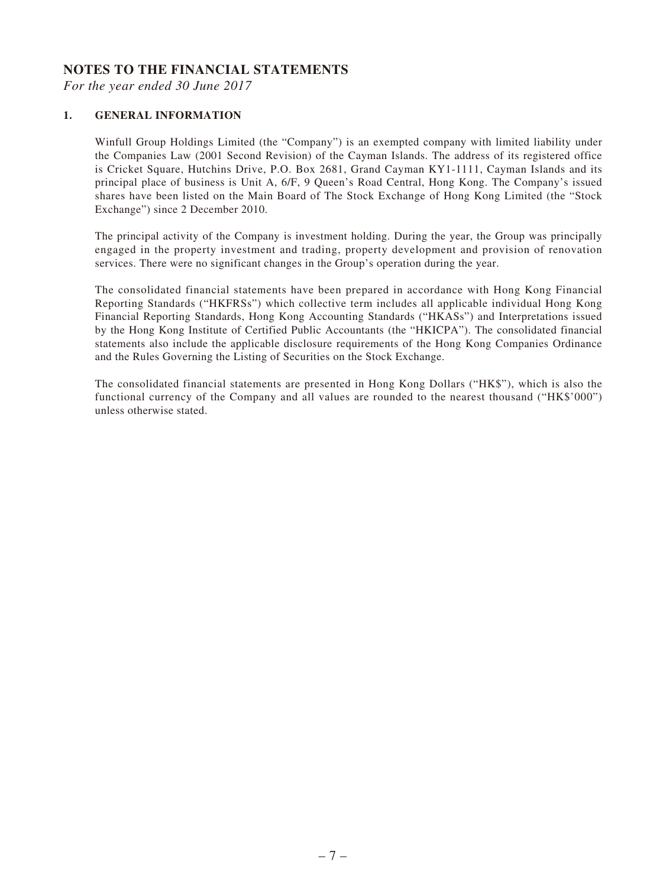#### **NOTES TO THE FINANCIAL STATEMENTS**

*For the year ended 30 June 2017*

#### **1. GENERAL INFORMATION**

Winfull Group Holdings Limited (the "Company") is an exempted company with limited liability under the Companies Law (2001 Second Revision) of the Cayman Islands. The address of its registered office is Cricket Square, Hutchins Drive, P.O. Box 2681, Grand Cayman KY1-1111, Cayman Islands and its principal place of business is Unit A, 6/F, 9 Queen's Road Central, Hong Kong. The Company's issued shares have been listed on the Main Board of The Stock Exchange of Hong Kong Limited (the "Stock Exchange") since 2 December 2010.

The principal activity of the Company is investment holding. During the year, the Group was principally engaged in the property investment and trading, property development and provision of renovation services. There were no significant changes in the Group's operation during the year.

The consolidated financial statements have been prepared in accordance with Hong Kong Financial Reporting Standards ("HKFRSs") which collective term includes all applicable individual Hong Kong Financial Reporting Standards, Hong Kong Accounting Standards ("HKASs") and Interpretations issued by the Hong Kong Institute of Certified Public Accountants (the "HKICPA"). The consolidated financial statements also include the applicable disclosure requirements of the Hong Kong Companies Ordinance and the Rules Governing the Listing of Securities on the Stock Exchange.

The consolidated financial statements are presented in Hong Kong Dollars ("HK\$"), which is also the functional currency of the Company and all values are rounded to the nearest thousand ("HK\$'000") unless otherwise stated.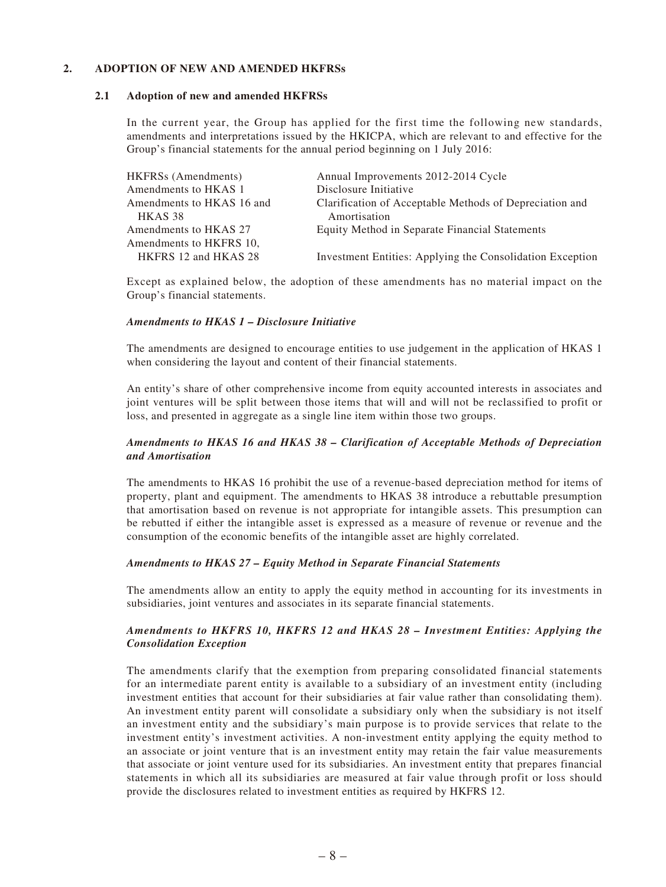#### **2. ADOPTION OF NEW AND AMENDED HKFRSs**

#### **2.1 Adoption of new and amended HKFRSs**

In the current year, the Group has applied for the first time the following new standards, amendments and interpretations issued by the HKICPA, which are relevant to and effective for the Group's financial statements for the annual period beginning on 1 July 2016:

| Annual Improvements 2012-2014 Cycle                       |
|-----------------------------------------------------------|
| Disclosure Initiative                                     |
| Clarification of Acceptable Methods of Depreciation and   |
| Amortisation                                              |
| Equity Method in Separate Financial Statements            |
|                                                           |
| Investment Entities: Applying the Consolidation Exception |
|                                                           |

Except as explained below, the adoption of these amendments has no material impact on the Group's financial statements.

#### *Amendments to HKAS 1 – Disclosure Initiative*

The amendments are designed to encourage entities to use judgement in the application of HKAS 1 when considering the layout and content of their financial statements.

An entity's share of other comprehensive income from equity accounted interests in associates and joint ventures will be split between those items that will and will not be reclassified to profit or loss, and presented in aggregate as a single line item within those two groups.

#### *Amendments to HKAS 16 and HKAS 38 – Clarification of Acceptable Methods of Depreciation and Amortisation*

The amendments to HKAS 16 prohibit the use of a revenue-based depreciation method for items of property, plant and equipment. The amendments to HKAS 38 introduce a rebuttable presumption that amortisation based on revenue is not appropriate for intangible assets. This presumption can be rebutted if either the intangible asset is expressed as a measure of revenue or revenue and the consumption of the economic benefits of the intangible asset are highly correlated.

#### *Amendments to HKAS 27 – Equity Method in Separate Financial Statements*

The amendments allow an entity to apply the equity method in accounting for its investments in subsidiaries, joint ventures and associates in its separate financial statements.

#### *Amendments to HKFRS 10, HKFRS 12 and HKAS 28 – Investment Entities: Applying the Consolidation Exception*

The amendments clarify that the exemption from preparing consolidated financial statements for an intermediate parent entity is available to a subsidiary of an investment entity (including investment entities that account for their subsidiaries at fair value rather than consolidating them). An investment entity parent will consolidate a subsidiary only when the subsidiary is not itself an investment entity and the subsidiary's main purpose is to provide services that relate to the investment entity's investment activities. A non-investment entity applying the equity method to an associate or joint venture that is an investment entity may retain the fair value measurements that associate or joint venture used for its subsidiaries. An investment entity that prepares financial statements in which all its subsidiaries are measured at fair value through profit or loss should provide the disclosures related to investment entities as required by HKFRS 12.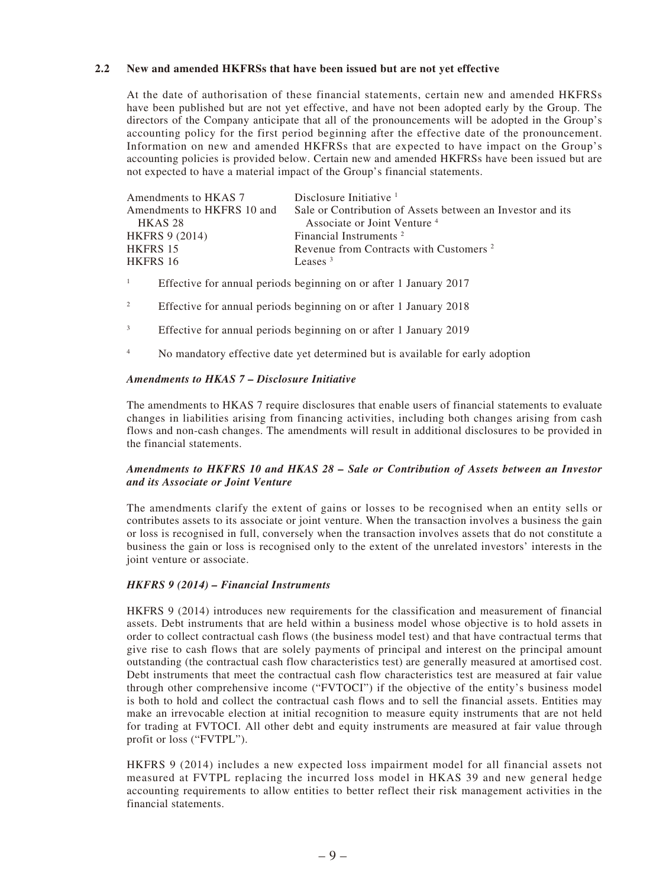#### **2.2 New and amended HKFRSs that have been issued but are not yet effective**

At the date of authorisation of these financial statements, certain new and amended HKFRSs have been published but are not yet effective, and have not been adopted early by the Group. The directors of the Company anticipate that all of the pronouncements will be adopted in the Group's accounting policy for the first period beginning after the effective date of the pronouncement. Information on new and amended HKFRSs that are expected to have impact on the Group's accounting policies is provided below. Certain new and amended HKFRSs have been issued but are not expected to have a material impact of the Group's financial statements.

| Amendments to HKAS 7       | Disclosure Initiative $1$                                  |
|----------------------------|------------------------------------------------------------|
| Amendments to HKFRS 10 and | Sale or Contribution of Assets between an Investor and its |
| HKAS <sub>28</sub>         | Associate or Joint Venture <sup>4</sup>                    |
| <b>HKFRS 9 (2014)</b>      | Financial Instruments <sup>2</sup>                         |
| HKFRS 15                   | Revenue from Contracts with Customers <sup>2</sup>         |
| HKFRS 16                   | Leases $3$                                                 |

1 Effective for annual periods beginning on or after 1 January 2017

- 2 Effective for annual periods beginning on or after 1 January 2018
- 3 Effective for annual periods beginning on or after 1 January 2019
- 4 No mandatory effective date yet determined but is available for early adoption

#### *Amendments to HKAS 7 – Disclosure Initiative*

The amendments to HKAS 7 require disclosures that enable users of financial statements to evaluate changes in liabilities arising from financing activities, including both changes arising from cash flows and non-cash changes. The amendments will result in additional disclosures to be provided in the financial statements.

#### *Amendments to HKFRS 10 and HKAS 28 – Sale or Contribution of Assets between an Investor and its Associate or Joint Venture*

The amendments clarify the extent of gains or losses to be recognised when an entity sells or contributes assets to its associate or joint venture. When the transaction involves a business the gain or loss is recognised in full, conversely when the transaction involves assets that do not constitute a business the gain or loss is recognised only to the extent of the unrelated investors' interests in the joint venture or associate.

#### *HKFRS 9 (2014) – Financial Instruments*

HKFRS 9 (2014) introduces new requirements for the classification and measurement of financial assets. Debt instruments that are held within a business model whose objective is to hold assets in order to collect contractual cash flows (the business model test) and that have contractual terms that give rise to cash flows that are solely payments of principal and interest on the principal amount outstanding (the contractual cash flow characteristics test) are generally measured at amortised cost. Debt instruments that meet the contractual cash flow characteristics test are measured at fair value through other comprehensive income ("FVTOCI") if the objective of the entity's business model is both to hold and collect the contractual cash flows and to sell the financial assets. Entities may make an irrevocable election at initial recognition to measure equity instruments that are not held for trading at FVTOCI. All other debt and equity instruments are measured at fair value through profit or loss ("FVTPL").

HKFRS 9 (2014) includes a new expected loss impairment model for all financial assets not measured at FVTPL replacing the incurred loss model in HKAS 39 and new general hedge accounting requirements to allow entities to better reflect their risk management activities in the financial statements.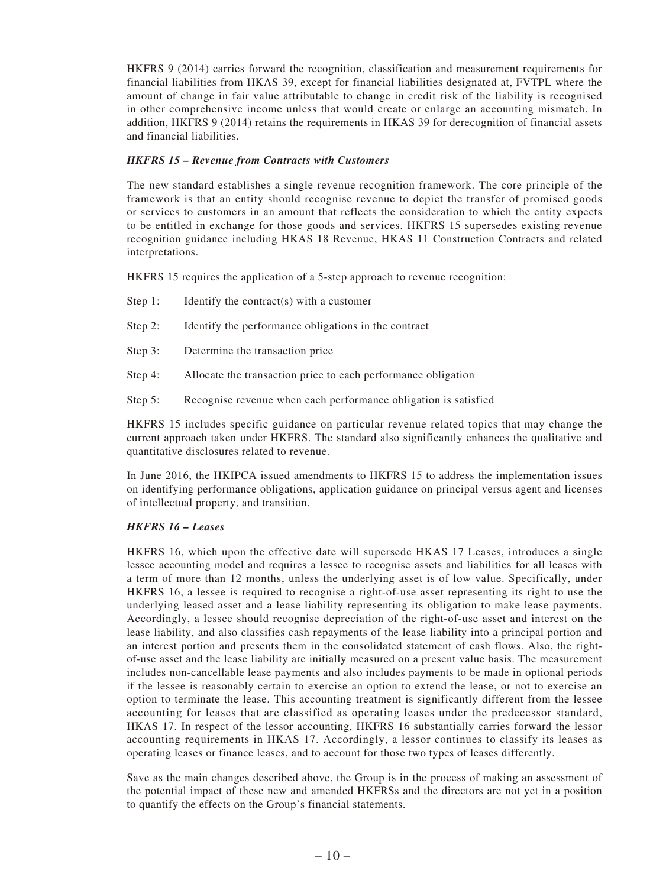HKFRS 9 (2014) carries forward the recognition, classification and measurement requirements for financial liabilities from HKAS 39, except for financial liabilities designated at, FVTPL where the amount of change in fair value attributable to change in credit risk of the liability is recognised in other comprehensive income unless that would create or enlarge an accounting mismatch. In addition, HKFRS 9 (2014) retains the requirements in HKAS 39 for derecognition of financial assets and financial liabilities.

#### *HKFRS 15 – Revenue from Contracts with Customers*

The new standard establishes a single revenue recognition framework. The core principle of the framework is that an entity should recognise revenue to depict the transfer of promised goods or services to customers in an amount that reflects the consideration to which the entity expects to be entitled in exchange for those goods and services. HKFRS 15 supersedes existing revenue recognition guidance including HKAS 18 Revenue, HKAS 11 Construction Contracts and related interpretations.

HKFRS 15 requires the application of a 5-step approach to revenue recognition:

- Step 1: Identify the contract(s) with a customer
- Step 2: Identify the performance obligations in the contract
- Step 3: Determine the transaction price
- Step 4: Allocate the transaction price to each performance obligation
- Step 5: Recognise revenue when each performance obligation is satisfied

HKFRS 15 includes specific guidance on particular revenue related topics that may change the current approach taken under HKFRS. The standard also significantly enhances the qualitative and quantitative disclosures related to revenue.

In June 2016, the HKIPCA issued amendments to HKFRS 15 to address the implementation issues on identifying performance obligations, application guidance on principal versus agent and licenses of intellectual property, and transition.

#### *HKFRS 16 – Leases*

HKFRS 16, which upon the effective date will supersede HKAS 17 Leases, introduces a single lessee accounting model and requires a lessee to recognise assets and liabilities for all leases with a term of more than 12 months, unless the underlying asset is of low value. Specifically, under HKFRS 16, a lessee is required to recognise a right-of-use asset representing its right to use the underlying leased asset and a lease liability representing its obligation to make lease payments. Accordingly, a lessee should recognise depreciation of the right-of-use asset and interest on the lease liability, and also classifies cash repayments of the lease liability into a principal portion and an interest portion and presents them in the consolidated statement of cash flows. Also, the rightof-use asset and the lease liability are initially measured on a present value basis. The measurement includes non-cancellable lease payments and also includes payments to be made in optional periods if the lessee is reasonably certain to exercise an option to extend the lease, or not to exercise an option to terminate the lease. This accounting treatment is significantly different from the lessee accounting for leases that are classified as operating leases under the predecessor standard, HKAS 17. In respect of the lessor accounting, HKFRS 16 substantially carries forward the lessor accounting requirements in HKAS 17. Accordingly, a lessor continues to classify its leases as operating leases or finance leases, and to account for those two types of leases differently.

Save as the main changes described above, the Group is in the process of making an assessment of the potential impact of these new and amended HKFRSs and the directors are not yet in a position to quantify the effects on the Group's financial statements.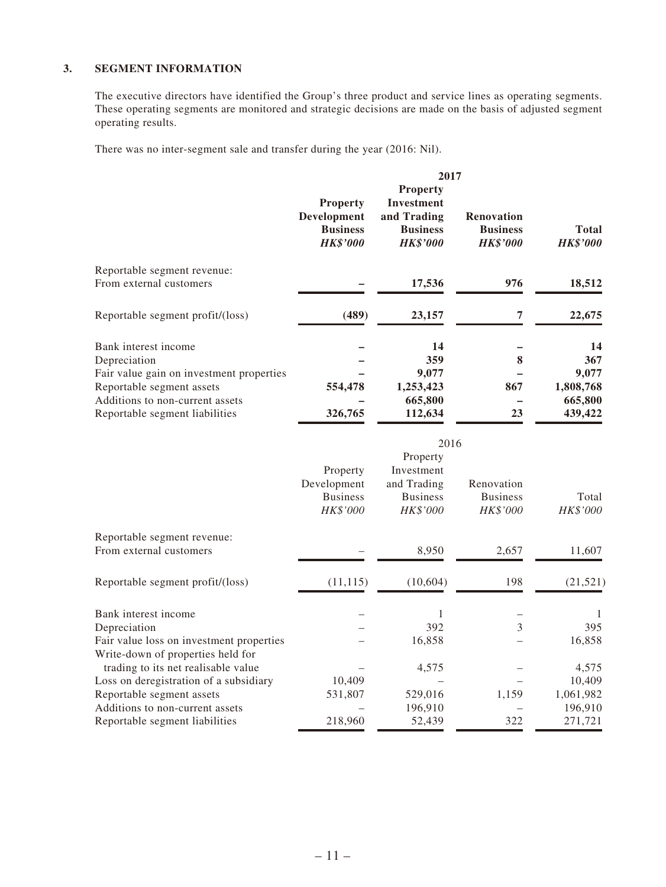#### **3. SEGMENT INFORMATION**

The executive directors have identified the Group's three product and service lines as operating segments. These operating segments are monitored and strategic decisions are made on the basis of adjusted segment operating results.

There was no inter-segment sale and transfer during the year (2016: Nil).

|                                                        | 2017                                                                        |                                                                                    |                                                         |                          |  |
|--------------------------------------------------------|-----------------------------------------------------------------------------|------------------------------------------------------------------------------------|---------------------------------------------------------|--------------------------|--|
|                                                        | <b>Property</b><br><b>Development</b><br><b>Business</b><br><b>HK\$'000</b> | <b>Property</b><br>Investment<br>and Trading<br><b>Business</b><br><b>HK\$'000</b> | <b>Renovation</b><br><b>Business</b><br><b>HK\$'000</b> | Total<br><b>HK\$'000</b> |  |
| Reportable segment revenue:<br>From external customers |                                                                             | 17,536                                                                             | 976                                                     | 18,512                   |  |
| Reportable segment profit/(loss)                       | (489)                                                                       | 23,157                                                                             | 7                                                       | 22,675                   |  |
| Bank interest income<br>Depreciation                   |                                                                             | 14<br>359                                                                          | 8                                                       | 14<br>367                |  |
| Fair value gain on investment properties               |                                                                             | 9,077                                                                              |                                                         | 9,077                    |  |
| Reportable segment assets                              | 554,478                                                                     | 1,253,423                                                                          | 867                                                     | 1,808,768                |  |
| Additions to non-current assets                        |                                                                             | 665,800                                                                            |                                                         | 665,800                  |  |
| Reportable segment liabilities                         | 326,765                                                                     | 112,634                                                                            | 23                                                      | 439,422                  |  |

|                                          | 2016                                       |                                            |                                                  |                   |  |
|------------------------------------------|--------------------------------------------|--------------------------------------------|--------------------------------------------------|-------------------|--|
|                                          | Property                                   | Property<br>Investment                     |                                                  |                   |  |
|                                          | Development<br><b>Business</b><br>HK\$'000 | and Trading<br><b>Business</b><br>HK\$'000 | Renovation<br><b>Business</b><br><b>HK\$'000</b> | Total<br>HK\$'000 |  |
| Reportable segment revenue:              |                                            |                                            |                                                  |                   |  |
| From external customers                  |                                            | 8,950                                      | 2,657                                            | 11,607            |  |
| Reportable segment profit/(loss)         | (11, 115)                                  | (10, 604)                                  | 198                                              | (21, 521)         |  |
| Bank interest income                     |                                            |                                            |                                                  |                   |  |
| Depreciation                             |                                            | 392                                        | 3                                                | 395               |  |
| Fair value loss on investment properties |                                            | 16,858                                     |                                                  | 16,858            |  |
| Write-down of properties held for        |                                            |                                            |                                                  |                   |  |
| trading to its net realisable value      |                                            | 4,575                                      |                                                  | 4,575             |  |
| Loss on deregistration of a subsidiary   | 10,409                                     |                                            |                                                  | 10,409            |  |
| Reportable segment assets                | 531,807                                    | 529,016                                    | 1,159                                            | 1,061,982         |  |
| Additions to non-current assets          |                                            | 196,910                                    |                                                  | 196,910           |  |
| Reportable segment liabilities           | 218,960                                    | 52,439                                     | 322                                              | 271,721           |  |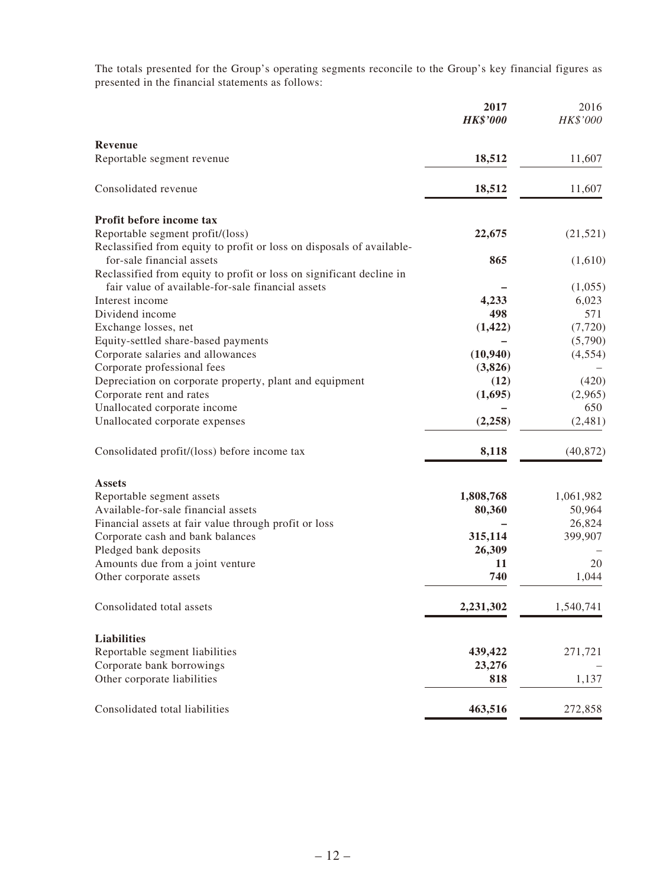The totals presented for the Group's operating segments reconcile to the Group's key financial figures as presented in the financial statements as follows:

|                                                                       | 2017<br><b>HK\$'000</b> | 2016<br>HK\$'000 |
|-----------------------------------------------------------------------|-------------------------|------------------|
| Revenue                                                               |                         |                  |
| Reportable segment revenue                                            | 18,512                  | 11,607           |
| Consolidated revenue                                                  | 18,512                  | 11,607           |
| Profit before income tax                                              |                         |                  |
| Reportable segment profit/(loss)                                      | 22,675                  | (21, 521)        |
| Reclassified from equity to profit or loss on disposals of available- |                         |                  |
| for-sale financial assets                                             | 865                     | (1,610)          |
| Reclassified from equity to profit or loss on significant decline in  |                         |                  |
| fair value of available-for-sale financial assets                     |                         | (1,055)          |
| Interest income                                                       | 4,233                   | 6,023            |
| Dividend income                                                       | 498                     | 571              |
| Exchange losses, net                                                  | (1, 422)                | (7, 720)         |
| Equity-settled share-based payments                                   |                         | (5,790)          |
| Corporate salaries and allowances                                     | (10, 940)               | (4, 554)         |
| Corporate professional fees                                           | (3,826)                 |                  |
| Depreciation on corporate property, plant and equipment               | (12)                    | (420)            |
| Corporate rent and rates                                              | (1,695)                 | (2,965)          |
| Unallocated corporate income                                          |                         | 650              |
| Unallocated corporate expenses                                        | (2, 258)                | (2, 481)         |
| Consolidated profit/(loss) before income tax                          | 8,118                   | (40, 872)        |
| <b>Assets</b>                                                         |                         |                  |
| Reportable segment assets                                             | 1,808,768               | 1,061,982        |
| Available-for-sale financial assets                                   | 80,360                  | 50,964           |
| Financial assets at fair value through profit or loss                 |                         | 26,824           |
| Corporate cash and bank balances                                      | 315,114                 | 399,907          |
| Pledged bank deposits                                                 | 26,309                  |                  |
| Amounts due from a joint venture                                      | 11                      | 20               |
| Other corporate assets                                                | 740                     | 1,044            |
| Consolidated total assets                                             | 2,231,302               | 1,540,741        |
| <b>Liabilities</b>                                                    |                         |                  |
| Reportable segment liabilities                                        | 439,422                 | 271,721          |
| Corporate bank borrowings                                             | 23,276                  |                  |
| Other corporate liabilities                                           | 818                     | 1,137            |
| Consolidated total liabilities                                        | 463,516                 | 272,858          |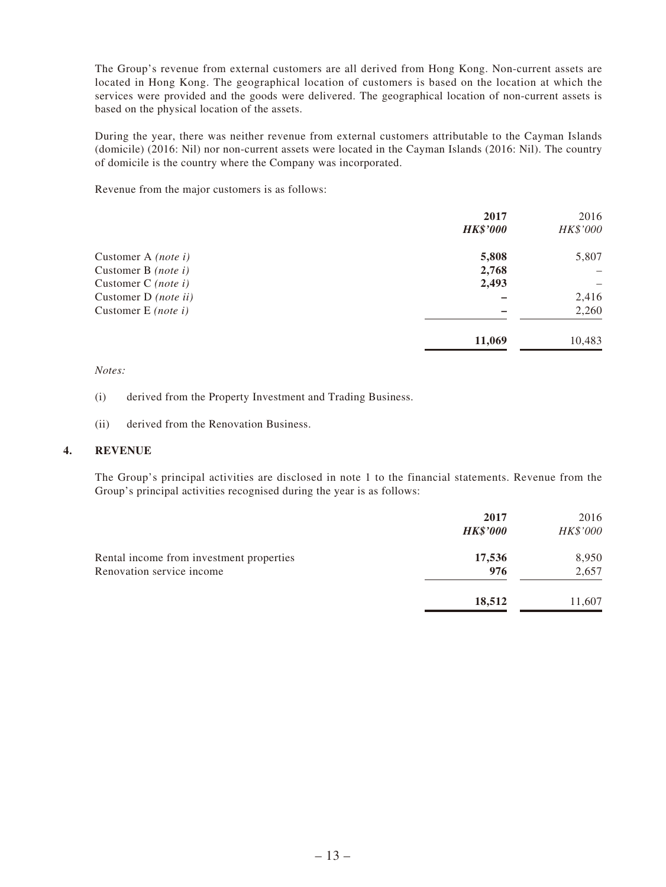The Group's revenue from external customers are all derived from Hong Kong. Non-current assets are located in Hong Kong. The geographical location of customers is based on the location at which the services were provided and the goods were delivered. The geographical location of non-current assets is based on the physical location of the assets.

During the year, there was neither revenue from external customers attributable to the Cayman Islands (domicile) (2016: Nil) nor non-current assets were located in the Cayman Islands (2016: Nil). The country of domicile is the country where the Company was incorporated.

Revenue from the major customers is as follows:

|                            | 2017            | 2016     |
|----------------------------|-----------------|----------|
|                            | <b>HK\$'000</b> | HK\$'000 |
| Customer A <i>(note i)</i> | 5,808           | 5,807    |
| Customer B $(note\ i)$     | 2,768           |          |
| Customer C $(note\ i)$     | 2,493           |          |
| Customer D (note ii)       |                 | 2,416    |
| Customer E <i>(note i)</i> |                 | 2,260    |
|                            | 11,069          | 10,483   |

*Notes:*

(i) derived from the Property Investment and Trading Business.

(ii) derived from the Renovation Business.

#### **4. REVENUE**

The Group's principal activities are disclosed in note 1 to the financial statements. Revenue from the Group's principal activities recognised during the year is as follows:

|                                          | 2017            | 2016     |
|------------------------------------------|-----------------|----------|
|                                          | <b>HK\$'000</b> | HK\$'000 |
| Rental income from investment properties | 17,536          | 8,950    |
| Renovation service income                | 976             | 2,657    |
|                                          | 18,512          | 11,607   |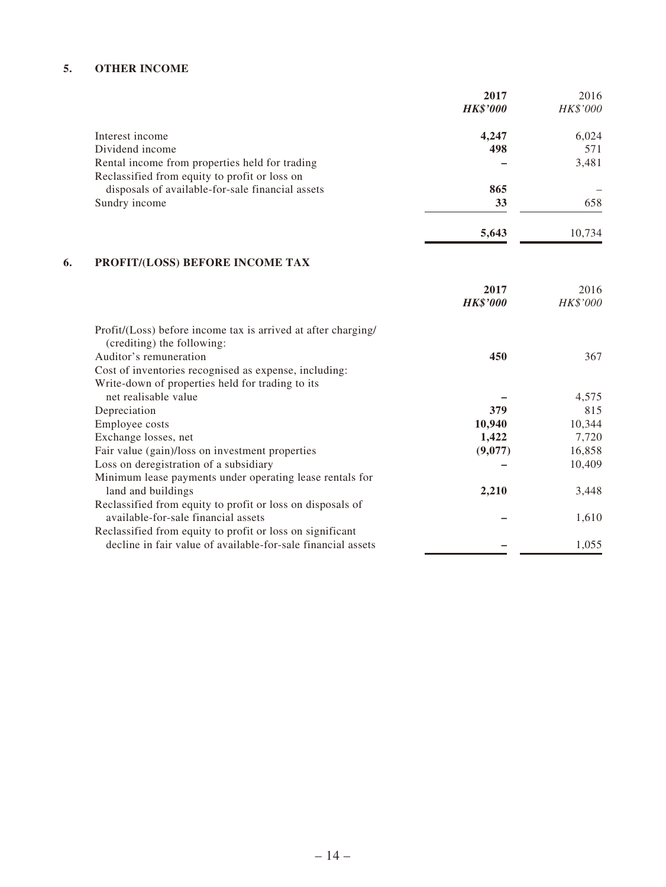#### **5. OTHER INCOME**

|                                                  | 2017            | 2016     |
|--------------------------------------------------|-----------------|----------|
|                                                  | <b>HK\$'000</b> | HK\$'000 |
| Interest income                                  | 4,247           | 6,024    |
| Dividend income                                  | 498             | 571      |
| Rental income from properties held for trading   |                 | 3,481    |
| Reclassified from equity to profit or loss on    |                 |          |
| disposals of available-for-sale financial assets | 865             |          |
| Sundry income                                    | 33              | 658      |
|                                                  | 5,643           | 10.734   |

### **6. PROFIT/(LOSS) BEFORE INCOME TAX**

|                                                               | 2017<br><b>HK\$'000</b> | 2016<br>HK\$'000 |
|---------------------------------------------------------------|-------------------------|------------------|
| Profit/(Loss) before income tax is arrived at after charging/ |                         |                  |
| (crediting) the following:                                    |                         |                  |
| Auditor's remuneration                                        | 450                     | 367              |
| Cost of inventories recognised as expense, including:         |                         |                  |
| Write-down of properties held for trading to its              |                         |                  |
| net realisable value                                          |                         | 4,575            |
| Depreciation                                                  | 379                     | 815              |
| Employee costs                                                | 10,940                  | 10,344           |
| Exchange losses, net                                          | 1,422                   | 7,720            |
| Fair value (gain)/loss on investment properties               | (9,077)                 | 16,858           |
| Loss on deregistration of a subsidiary                        |                         | 10,409           |
| Minimum lease payments under operating lease rentals for      |                         |                  |
| land and buildings                                            | 2,210                   | 3,448            |
| Reclassified from equity to profit or loss on disposals of    |                         |                  |
| available-for-sale financial assets                           |                         | 1,610            |
| Reclassified from equity to profit or loss on significant     |                         |                  |
| decline in fair value of available-for-sale financial assets  |                         | 1,055            |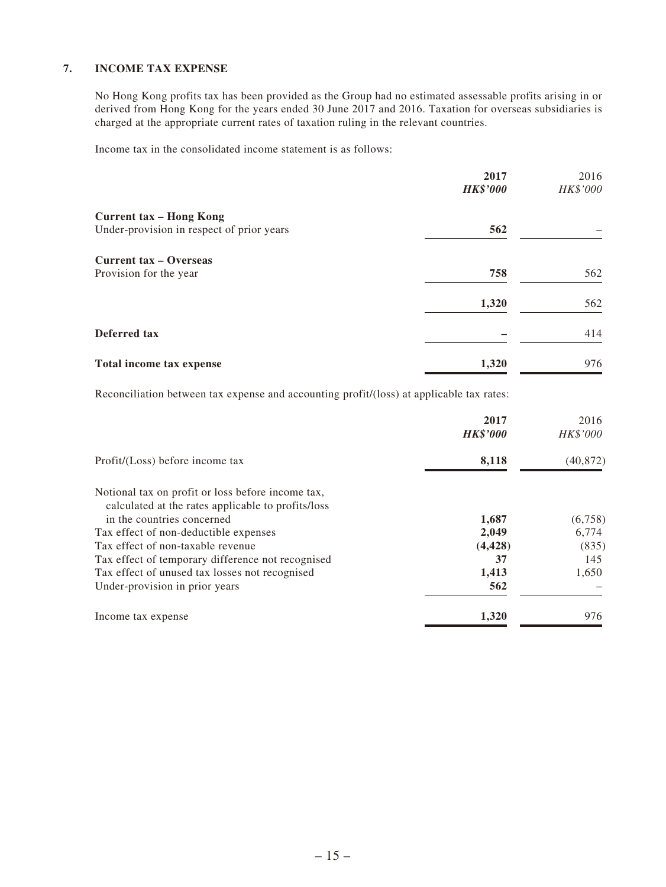#### **7. INCOME TAX EXPENSE**

No Hong Kong profits tax has been provided as the Group had no estimated assessable profits arising in or derived from Hong Kong for the years ended 30 June 2017 and 2016. Taxation for overseas subsidiaries is charged at the appropriate current rates of taxation ruling in the relevant countries.

Income tax in the consolidated income statement is as follows:

|                                           | 2017<br><b>HK\$'000</b> | 2016<br>HK\$'000 |
|-------------------------------------------|-------------------------|------------------|
| <b>Current tax - Hong Kong</b>            |                         |                  |
| Under-provision in respect of prior years | 562                     |                  |
| <b>Current tax – Overseas</b>             |                         |                  |
| Provision for the year                    | 758                     | 562              |
|                                           | 1,320                   | 562              |
| Deferred tax                              |                         | 414              |
| Total income tax expense                  | 1,320                   | 976              |

Reconciliation between tax expense and accounting profit/(loss) at applicable tax rates:

|                                                    | 2017<br><b>HK\$'000</b> | 2016<br>HK\$'000 |
|----------------------------------------------------|-------------------------|------------------|
| Profit/(Loss) before income tax                    | 8,118                   | (40, 872)        |
| Notional tax on profit or loss before income tax,  |                         |                  |
| calculated at the rates applicable to profits/loss |                         |                  |
| in the countries concerned                         | 1,687                   | (6,758)          |
| Tax effect of non-deductible expenses              | 2,049                   | 6,774            |
| Tax effect of non-taxable revenue                  | (4, 428)                | (835)            |
| Tax effect of temporary difference not recognised  | 37                      | 145              |
| Tax effect of unused tax losses not recognised     | 1,413                   | 1,650            |
| Under-provision in prior years                     | 562                     |                  |
| Income tax expense                                 | 1,320                   | 976              |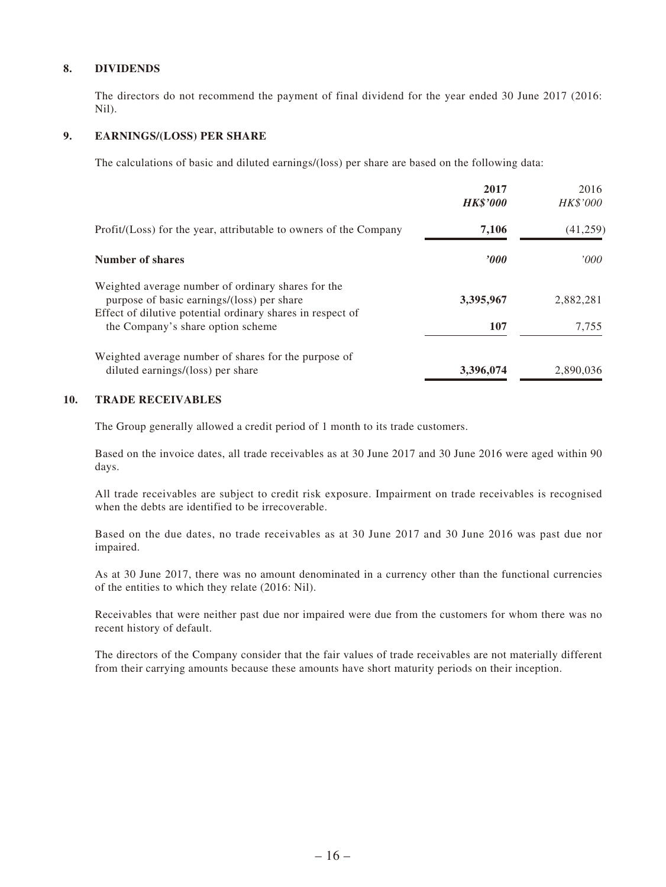#### **8. DIVIDENDS**

The directors do not recommend the payment of final dividend for the year ended 30 June 2017 (2016: Nil).

#### **9. EARNINGS/(LOSS) PER SHARE**

The calculations of basic and diluted earnings/(loss) per share are based on the following data:

|                                                                                                                                                                | 2017<br><b>HK\$'000</b> | 2016<br><i>HK\$'000</i> |
|----------------------------------------------------------------------------------------------------------------------------------------------------------------|-------------------------|-------------------------|
| Profit/(Loss) for the year, attributable to owners of the Company                                                                                              | 7,106                   | (41,259)                |
| <b>Number of shares</b>                                                                                                                                        | 2000                    | 000'                    |
| Weighted average number of ordinary shares for the<br>purpose of basic earnings/(loss) per share<br>Effect of dilutive potential ordinary shares in respect of | 3,395,967               | 2,882,281               |
| the Company's share option scheme                                                                                                                              | 107                     | 7,755                   |
| Weighted average number of shares for the purpose of<br>diluted earnings/(loss) per share                                                                      | 3,396,074               | 2,890,036               |

#### **10. TRADE RECEIVABLES**

The Group generally allowed a credit period of 1 month to its trade customers.

Based on the invoice dates, all trade receivables as at 30 June 2017 and 30 June 2016 were aged within 90 days.

All trade receivables are subject to credit risk exposure. Impairment on trade receivables is recognised when the debts are identified to be irrecoverable.

Based on the due dates, no trade receivables as at 30 June 2017 and 30 June 2016 was past due nor impaired.

As at 30 June 2017, there was no amount denominated in a currency other than the functional currencies of the entities to which they relate (2016: Nil).

Receivables that were neither past due nor impaired were due from the customers for whom there was no recent history of default.

The directors of the Company consider that the fair values of trade receivables are not materially different from their carrying amounts because these amounts have short maturity periods on their inception.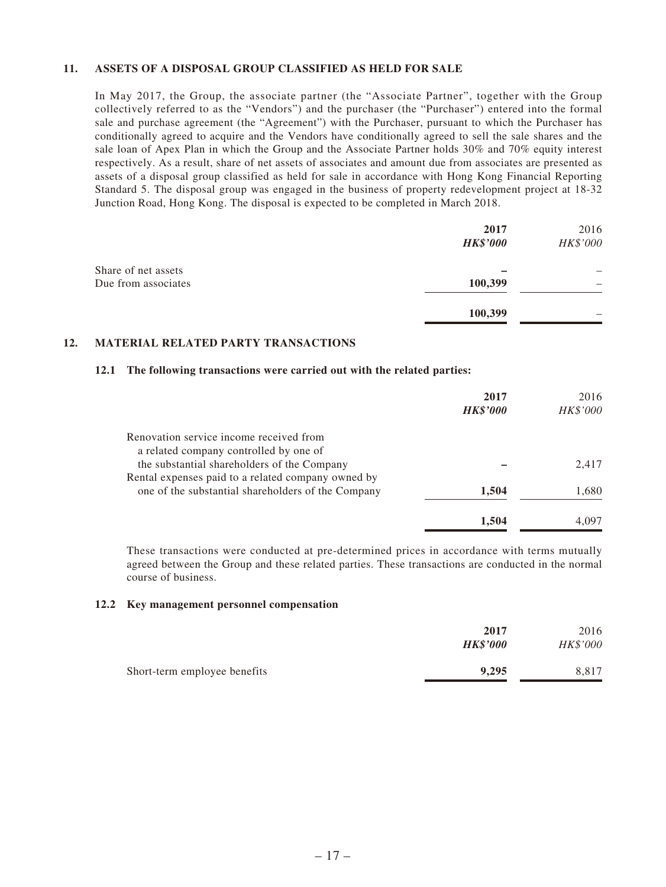#### **11. ASSETS OF A DISPOSAL GROUP CLASSIFIED AS HELD FOR SALE**

In May 2017, the Group, the associate partner (the "Associate Partner", together with the Group collectively referred to as the "Vendors") and the purchaser (the "Purchaser") entered into the formal sale and purchase agreement (the "Agreement") with the Purchaser, pursuant to which the Purchaser has conditionally agreed to acquire and the Vendors have conditionally agreed to sell the sale shares and the sale loan of Apex Plan in which the Group and the Associate Partner holds 30% and 70% equity interest respectively. As a result, share of net assets of associates and amount due from associates are presented as assets of a disposal group classified as held for sale in accordance with Hong Kong Financial Reporting Standard 5. The disposal group was engaged in the business of property redevelopment project at 18-32 Junction Road, Hong Kong. The disposal is expected to be completed in March 2018.

|                                            | 2017<br><b>HK\$'000</b> | 2016<br>HK\$'000 |
|--------------------------------------------|-------------------------|------------------|
| Share of net assets<br>Due from associates | 100,399                 |                  |
|                                            | 100,399                 |                  |

#### **12. MATERIAL RELATED PARTY TRANSACTIONS**

#### **12.1 The following transactions were carried out with the related parties:**

|                                                    | 2017<br><b>HK\$'000</b> | 2016<br>HK\$'000 |
|----------------------------------------------------|-------------------------|------------------|
| Renovation service income received from            |                         |                  |
| a related company controlled by one of             |                         |                  |
| the substantial shareholders of the Company        |                         | 2,417            |
| Rental expenses paid to a related company owned by |                         |                  |
| one of the substantial shareholders of the Company | 1,504                   | 1,680            |
|                                                    | 1.504                   | 4.097            |

These transactions were conducted at pre-determined prices in accordance with terms mutually agreed between the Group and these related parties. These transactions are conducted in the normal course of business.

#### **12.2 Key management personnel compensation**

|                              | 2017<br><b>HK\$'000</b> | 2016<br>HK\$'000 |
|------------------------------|-------------------------|------------------|
| Short-term employee benefits | 9.295                   | 8.817            |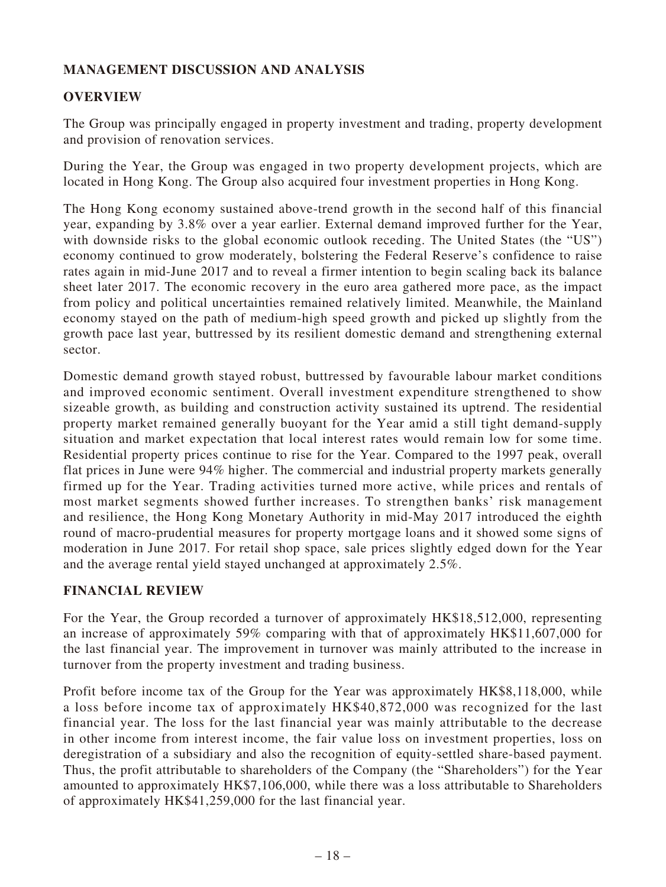# **MANAGEMENT DISCUSSION AND ANALYSIS**

### **OVERVIEW**

The Group was principally engaged in property investment and trading, property development and provision of renovation services.

During the Year, the Group was engaged in two property development projects, which are located in Hong Kong. The Group also acquired four investment properties in Hong Kong.

The Hong Kong economy sustained above-trend growth in the second half of this financial year, expanding by 3.8% over a year earlier. External demand improved further for the Year, with downside risks to the global economic outlook receding. The United States (the "US") economy continued to grow moderately, bolstering the Federal Reserve's confidence to raise rates again in mid-June 2017 and to reveal a firmer intention to begin scaling back its balance sheet later 2017. The economic recovery in the euro area gathered more pace, as the impact from policy and political uncertainties remained relatively limited. Meanwhile, the Mainland economy stayed on the path of medium-high speed growth and picked up slightly from the growth pace last year, buttressed by its resilient domestic demand and strengthening external sector.

Domestic demand growth stayed robust, buttressed by favourable labour market conditions and improved economic sentiment. Overall investment expenditure strengthened to show sizeable growth, as building and construction activity sustained its uptrend. The residential property market remained generally buoyant for the Year amid a still tight demand-supply situation and market expectation that local interest rates would remain low for some time. Residential property prices continue to rise for the Year. Compared to the 1997 peak, overall flat prices in June were 94% higher. The commercial and industrial property markets generally firmed up for the Year. Trading activities turned more active, while prices and rentals of most market segments showed further increases. To strengthen banks' risk management and resilience, the Hong Kong Monetary Authority in mid-May 2017 introduced the eighth round of macro-prudential measures for property mortgage loans and it showed some signs of moderation in June 2017. For retail shop space, sale prices slightly edged down for the Year and the average rental yield stayed unchanged at approximately 2.5%.

### **FINANCIAL REVIEW**

For the Year, the Group recorded a turnover of approximately HK\$18,512,000, representing an increase of approximately 59% comparing with that of approximately HK\$11,607,000 for the last financial year. The improvement in turnover was mainly attributed to the increase in turnover from the property investment and trading business.

Profit before income tax of the Group for the Year was approximately HK\$8,118,000, while a loss before income tax of approximately HK\$40,872,000 was recognized for the last financial year. The loss for the last financial year was mainly attributable to the decrease in other income from interest income, the fair value loss on investment properties, loss on deregistration of a subsidiary and also the recognition of equity-settled share-based payment. Thus, the profit attributable to shareholders of the Company (the "Shareholders") for the Year amounted to approximately HK\$7,106,000, while there was a loss attributable to Shareholders of approximately HK\$41,259,000 for the last financial year.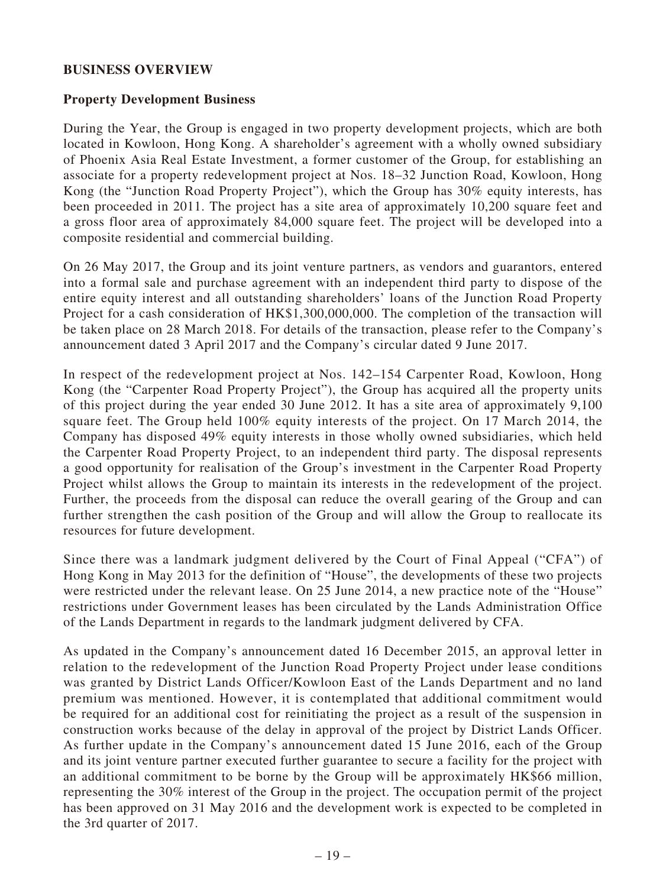#### **BUSINESS OVERVIEW**

#### **Property Development Business**

During the Year, the Group is engaged in two property development projects, which are both located in Kowloon, Hong Kong. A shareholder's agreement with a wholly owned subsidiary of Phoenix Asia Real Estate Investment, a former customer of the Group, for establishing an associate for a property redevelopment project at Nos. 18–32 Junction Road, Kowloon, Hong Kong (the "Junction Road Property Project"), which the Group has 30% equity interests, has been proceeded in 2011. The project has a site area of approximately 10,200 square feet and a gross floor area of approximately 84,000 square feet. The project will be developed into a composite residential and commercial building.

On 26 May 2017, the Group and its joint venture partners, as vendors and guarantors, entered into a formal sale and purchase agreement with an independent third party to dispose of the entire equity interest and all outstanding shareholders' loans of the Junction Road Property Project for a cash consideration of HK\$1,300,000,000. The completion of the transaction will be taken place on 28 March 2018. For details of the transaction, please refer to the Company's announcement dated 3 April 2017 and the Company's circular dated 9 June 2017.

In respect of the redevelopment project at Nos. 142–154 Carpenter Road, Kowloon, Hong Kong (the "Carpenter Road Property Project"), the Group has acquired all the property units of this project during the year ended 30 June 2012. It has a site area of approximately 9,100 square feet. The Group held 100% equity interests of the project. On 17 March 2014, the Company has disposed 49% equity interests in those wholly owned subsidiaries, which held the Carpenter Road Property Project, to an independent third party. The disposal represents a good opportunity for realisation of the Group's investment in the Carpenter Road Property Project whilst allows the Group to maintain its interests in the redevelopment of the project. Further, the proceeds from the disposal can reduce the overall gearing of the Group and can further strengthen the cash position of the Group and will allow the Group to reallocate its resources for future development.

Since there was a landmark judgment delivered by the Court of Final Appeal ("CFA") of Hong Kong in May 2013 for the definition of "House", the developments of these two projects were restricted under the relevant lease. On 25 June 2014, a new practice note of the "House" restrictions under Government leases has been circulated by the Lands Administration Office of the Lands Department in regards to the landmark judgment delivered by CFA.

As updated in the Company's announcement dated 16 December 2015, an approval letter in relation to the redevelopment of the Junction Road Property Project under lease conditions was granted by District Lands Officer/Kowloon East of the Lands Department and no land premium was mentioned. However, it is contemplated that additional commitment would be required for an additional cost for reinitiating the project as a result of the suspension in construction works because of the delay in approval of the project by District Lands Officer. As further update in the Company's announcement dated 15 June 2016, each of the Group and its joint venture partner executed further guarantee to secure a facility for the project with an additional commitment to be borne by the Group will be approximately HK\$66 million, representing the 30% interest of the Group in the project. The occupation permit of the project has been approved on 31 May 2016 and the development work is expected to be completed in the 3rd quarter of 2017.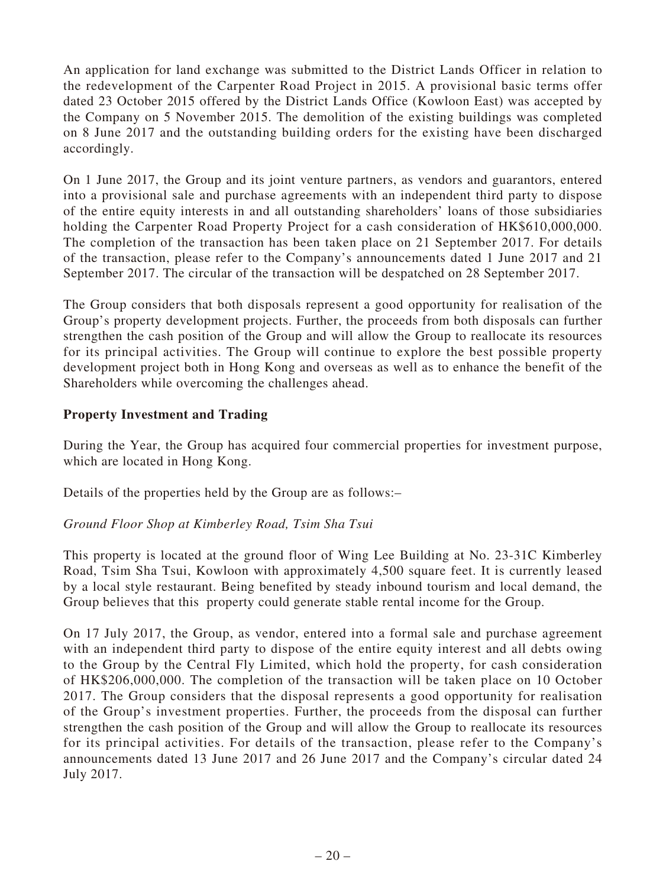An application for land exchange was submitted to the District Lands Officer in relation to the redevelopment of the Carpenter Road Project in 2015. A provisional basic terms offer dated 23 October 2015 offered by the District Lands Office (Kowloon East) was accepted by the Company on 5 November 2015. The demolition of the existing buildings was completed on 8 June 2017 and the outstanding building orders for the existing have been discharged accordingly.

On 1 June 2017, the Group and its joint venture partners, as vendors and guarantors, entered into a provisional sale and purchase agreements with an independent third party to dispose of the entire equity interests in and all outstanding shareholders' loans of those subsidiaries holding the Carpenter Road Property Project for a cash consideration of HK\$610,000,000. The completion of the transaction has been taken place on 21 September 2017. For details of the transaction, please refer to the Company's announcements dated 1 June 2017 and 21 September 2017. The circular of the transaction will be despatched on 28 September 2017.

The Group considers that both disposals represent a good opportunity for realisation of the Group's property development projects. Further, the proceeds from both disposals can further strengthen the cash position of the Group and will allow the Group to reallocate its resources for its principal activities. The Group will continue to explore the best possible property development project both in Hong Kong and overseas as well as to enhance the benefit of the Shareholders while overcoming the challenges ahead.

### **Property Investment and Trading**

During the Year, the Group has acquired four commercial properties for investment purpose, which are located in Hong Kong.

Details of the properties held by the Group are as follows:–

### *Ground Floor Shop at Kimberley Road, Tsim Sha Tsui*

This property is located at the ground floor of Wing Lee Building at No. 23-31C Kimberley Road, Tsim Sha Tsui, Kowloon with approximately 4,500 square feet. It is currently leased by a local style restaurant. Being benefited by steady inbound tourism and local demand, the Group believes that this property could generate stable rental income for the Group.

On 17 July 2017, the Group, as vendor, entered into a formal sale and purchase agreement with an independent third party to dispose of the entire equity interest and all debts owing to the Group by the Central Fly Limited, which hold the property, for cash consideration of HK\$206,000,000. The completion of the transaction will be taken place on 10 October 2017. The Group considers that the disposal represents a good opportunity for realisation of the Group's investment properties. Further, the proceeds from the disposal can further strengthen the cash position of the Group and will allow the Group to reallocate its resources for its principal activities. For details of the transaction, please refer to the Company's announcements dated 13 June 2017 and 26 June 2017 and the Company's circular dated 24 July 2017.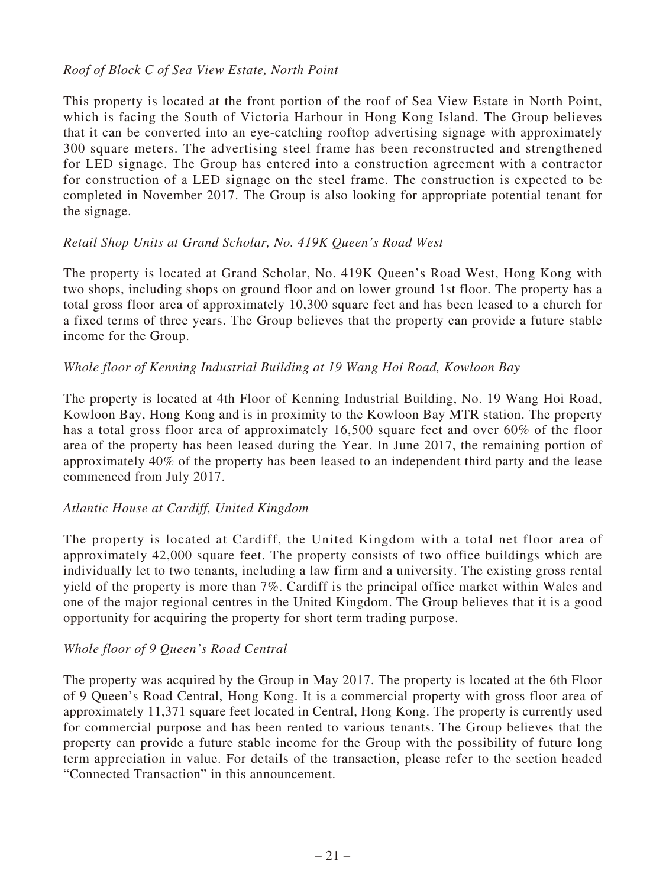### *Roof of Block C of Sea View Estate, North Point*

This property is located at the front portion of the roof of Sea View Estate in North Point, which is facing the South of Victoria Harbour in Hong Kong Island. The Group believes that it can be converted into an eye-catching rooftop advertising signage with approximately 300 square meters. The advertising steel frame has been reconstructed and strengthened for LED signage. The Group has entered into a construction agreement with a contractor for construction of a LED signage on the steel frame. The construction is expected to be completed in November 2017. The Group is also looking for appropriate potential tenant for the signage.

#### *Retail Shop Units at Grand Scholar, No. 419K Queen's Road West*

The property is located at Grand Scholar, No. 419K Queen's Road West, Hong Kong with two shops, including shops on ground floor and on lower ground 1st floor. The property has a total gross floor area of approximately 10,300 square feet and has been leased to a church for a fixed terms of three years. The Group believes that the property can provide a future stable income for the Group.

#### *Whole floor of Kenning Industrial Building at 19 Wang Hoi Road, Kowloon Bay*

The property is located at 4th Floor of Kenning Industrial Building, No. 19 Wang Hoi Road, Kowloon Bay, Hong Kong and is in proximity to the Kowloon Bay MTR station. The property has a total gross floor area of approximately 16,500 square feet and over 60% of the floor area of the property has been leased during the Year. In June 2017, the remaining portion of approximately 40% of the property has been leased to an independent third party and the lease commenced from July 2017.

### *Atlantic House at Cardiff, United Kingdom*

The property is located at Cardiff, the United Kingdom with a total net floor area of approximately 42,000 square feet. The property consists of two office buildings which are individually let to two tenants, including a law firm and a university. The existing gross rental yield of the property is more than 7%. Cardiff is the principal office market within Wales and one of the major regional centres in the United Kingdom. The Group believes that it is a good opportunity for acquiring the property for short term trading purpose.

### *Whole floor of 9 Queen's Road Central*

The property was acquired by the Group in May 2017. The property is located at the 6th Floor of 9 Queen's Road Central, Hong Kong. It is a commercial property with gross floor area of approximately 11,371 square feet located in Central, Hong Kong. The property is currently used for commercial purpose and has been rented to various tenants. The Group believes that the property can provide a future stable income for the Group with the possibility of future long term appreciation in value. For details of the transaction, please refer to the section headed "Connected Transaction" in this announcement.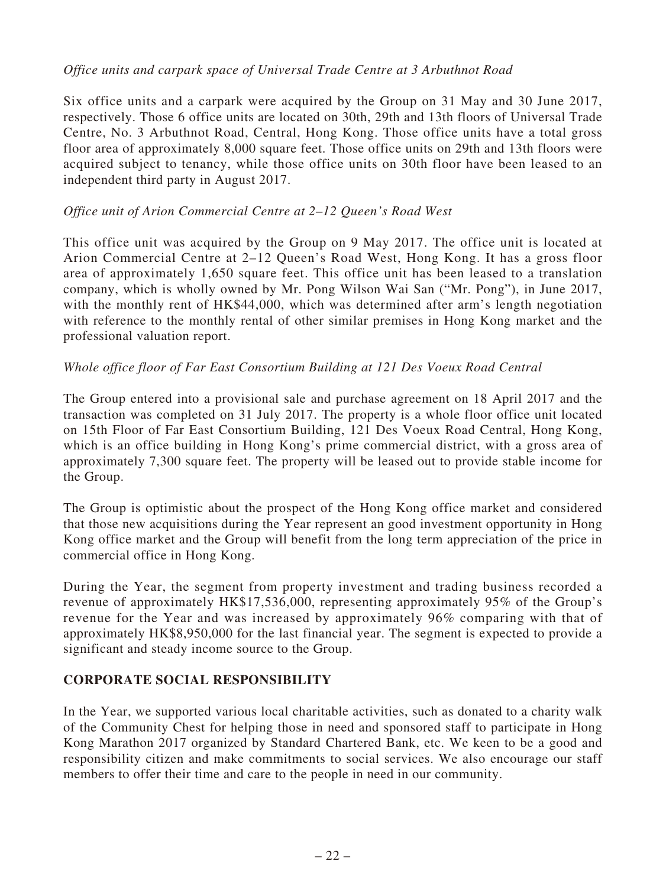### *Office units and carpark space of Universal Trade Centre at 3 Arbuthnot Road*

Six office units and a carpark were acquired by the Group on 31 May and 30 June 2017, respectively. Those 6 office units are located on 30th, 29th and 13th floors of Universal Trade Centre, No. 3 Arbuthnot Road, Central, Hong Kong. Those office units have a total gross floor area of approximately 8,000 square feet. Those office units on 29th and 13th floors were acquired subject to tenancy, while those office units on 30th floor have been leased to an independent third party in August 2017.

### *Office unit of Arion Commercial Centre at 2–12 Queen's Road West*

This office unit was acquired by the Group on 9 May 2017. The office unit is located at Arion Commercial Centre at 2–12 Queen's Road West, Hong Kong. It has a gross floor area of approximately 1,650 square feet. This office unit has been leased to a translation company, which is wholly owned by Mr. Pong Wilson Wai San ("Mr. Pong"), in June 2017, with the monthly rent of HK\$44,000, which was determined after arm's length negotiation with reference to the monthly rental of other similar premises in Hong Kong market and the professional valuation report.

### *Whole office floor of Far East Consortium Building at 121 Des Voeux Road Central*

The Group entered into a provisional sale and purchase agreement on 18 April 2017 and the transaction was completed on 31 July 2017. The property is a whole floor office unit located on 15th Floor of Far East Consortium Building, 121 Des Voeux Road Central, Hong Kong, which is an office building in Hong Kong's prime commercial district, with a gross area of approximately 7,300 square feet. The property will be leased out to provide stable income for the Group.

The Group is optimistic about the prospect of the Hong Kong office market and considered that those new acquisitions during the Year represent an good investment opportunity in Hong Kong office market and the Group will benefit from the long term appreciation of the price in commercial office in Hong Kong.

During the Year, the segment from property investment and trading business recorded a revenue of approximately HK\$17,536,000, representing approximately 95% of the Group's revenue for the Year and was increased by approximately 96% comparing with that of approximately HK\$8,950,000 for the last financial year. The segment is expected to provide a significant and steady income source to the Group.

# **CORPORATE SOCIAL RESPONSIBILITY**

In the Year, we supported various local charitable activities, such as donated to a charity walk of the Community Chest for helping those in need and sponsored staff to participate in Hong Kong Marathon 2017 organized by Standard Chartered Bank, etc. We keen to be a good and responsibility citizen and make commitments to social services. We also encourage our staff members to offer their time and care to the people in need in our community.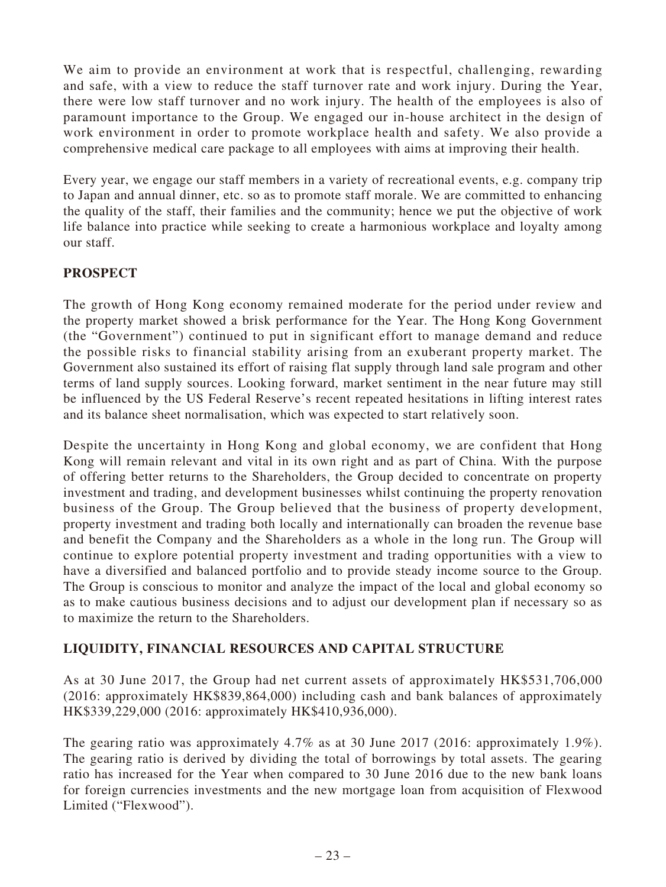We aim to provide an environment at work that is respectful, challenging, rewarding and safe, with a view to reduce the staff turnover rate and work injury. During the Year, there were low staff turnover and no work injury. The health of the employees is also of paramount importance to the Group. We engaged our in-house architect in the design of work environment in order to promote workplace health and safety. We also provide a comprehensive medical care package to all employees with aims at improving their health.

Every year, we engage our staff members in a variety of recreational events, e.g. company trip to Japan and annual dinner, etc. so as to promote staff morale. We are committed to enhancing the quality of the staff, their families and the community; hence we put the objective of work life balance into practice while seeking to create a harmonious workplace and loyalty among our staff.

### **PROSPECT**

The growth of Hong Kong economy remained moderate for the period under review and the property market showed a brisk performance for the Year. The Hong Kong Government (the "Government") continued to put in significant effort to manage demand and reduce the possible risks to financial stability arising from an exuberant property market. The Government also sustained its effort of raising flat supply through land sale program and other terms of land supply sources. Looking forward, market sentiment in the near future may still be influenced by the US Federal Reserve's recent repeated hesitations in lifting interest rates and its balance sheet normalisation, which was expected to start relatively soon.

Despite the uncertainty in Hong Kong and global economy, we are confident that Hong Kong will remain relevant and vital in its own right and as part of China. With the purpose of offering better returns to the Shareholders, the Group decided to concentrate on property investment and trading, and development businesses whilst continuing the property renovation business of the Group. The Group believed that the business of property development, property investment and trading both locally and internationally can broaden the revenue base and benefit the Company and the Shareholders as a whole in the long run. The Group will continue to explore potential property investment and trading opportunities with a view to have a diversified and balanced portfolio and to provide steady income source to the Group. The Group is conscious to monitor and analyze the impact of the local and global economy so as to make cautious business decisions and to adjust our development plan if necessary so as to maximize the return to the Shareholders.

# **LIQUIDITY, FINANCIAL RESOURCES AND CAPITAL STRUCTURE**

As at 30 June 2017, the Group had net current assets of approximately HK\$531,706,000 (2016: approximately HK\$839,864,000) including cash and bank balances of approximately HK\$339,229,000 (2016: approximately HK\$410,936,000).

The gearing ratio was approximately 4.7% as at 30 June 2017 (2016: approximately 1.9%). The gearing ratio is derived by dividing the total of borrowings by total assets. The gearing ratio has increased for the Year when compared to 30 June 2016 due to the new bank loans for foreign currencies investments and the new mortgage loan from acquisition of Flexwood Limited ("Flexwood").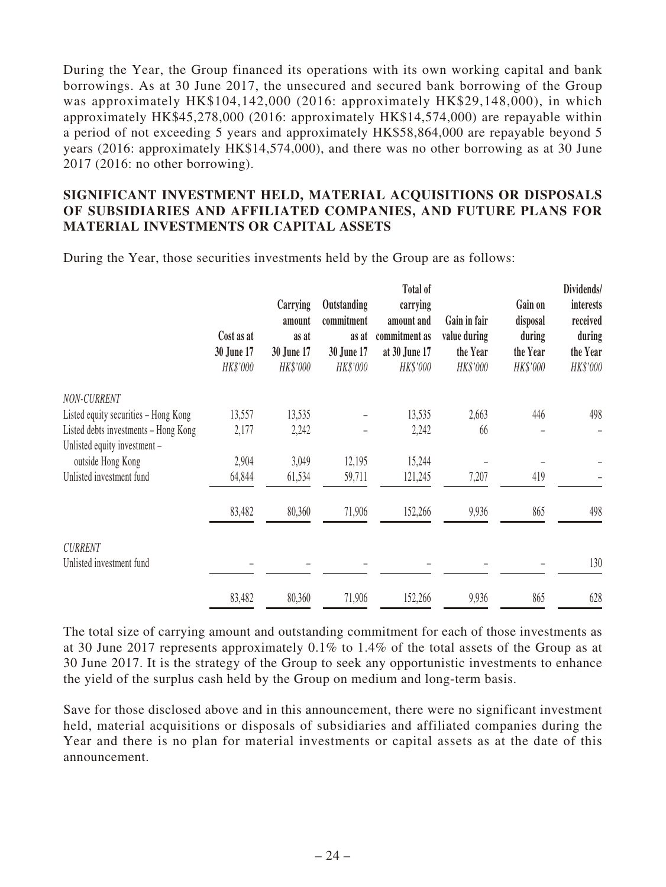During the Year, the Group financed its operations with its own working capital and bank borrowings. As at 30 June 2017, the unsecured and secured bank borrowing of the Group was approximately HK\$104,142,000 (2016: approximately HK\$29,148,000), in which approximately HK\$45,278,000 (2016: approximately HK\$14,574,000) are repayable within a period of not exceeding 5 years and approximately HK\$58,864,000 are repayable beyond 5 years (2016: approximately HK\$14,574,000), and there was no other borrowing as at 30 June 2017 (2016: no other borrowing).

### **SIGNIFICANT INVESTMENT HELD, MATERIAL ACQUISITIONS OR DISPOSALS OF SUBSIDIARIES AND AFFILIATED COMPANIES, AND FUTURE PLANS FOR MATERIAL INVESTMENTS OR CAPITAL ASSETS**

During the Year, those securities investments held by the Group are as follows:

|                                      | Cost as at<br>30 June 17<br>HK\$'000 | Carrying<br>amount<br>as at<br>30 June 17<br>HK\$'000 | Outstanding<br>commitment<br>as at<br>30 June 17<br>HK\$'000 | Total of<br>carrying<br>amount and<br>commitment as<br>at 30 June 17<br>HK\$'000 | Gain in fair<br>value during<br>the Year<br>HK\$'000 | Gain on<br>disposal<br>during<br>the Year<br>HK\$'000 | Dividends/<br>interests<br>received<br>during<br>the Year<br>HK\$'000 |
|--------------------------------------|--------------------------------------|-------------------------------------------------------|--------------------------------------------------------------|----------------------------------------------------------------------------------|------------------------------------------------------|-------------------------------------------------------|-----------------------------------------------------------------------|
| NON-CURRENT                          |                                      |                                                       |                                                              |                                                                                  |                                                      |                                                       |                                                                       |
| Listed equity securities - Hong Kong | 13,557                               | 13,535                                                |                                                              | 13,535                                                                           | 2,663                                                | 446                                                   | 498                                                                   |
| Listed debts investments - Hong Kong | 2,177                                | 2,242                                                 |                                                              | 2,242                                                                            | 66                                                   |                                                       |                                                                       |
| Unlisted equity investment -         |                                      |                                                       |                                                              |                                                                                  |                                                      |                                                       |                                                                       |
| outside Hong Kong                    | 2,904                                | 3,049                                                 | 12,195                                                       | 15,244                                                                           |                                                      |                                                       |                                                                       |
| Unlisted investment fund             | 64,844                               | 61,534                                                | 59,711                                                       | 121,245                                                                          | 7,207                                                | 419                                                   |                                                                       |
|                                      | 83,482                               | 80,360                                                | 71,906                                                       | 152,266                                                                          | 9,936                                                | 865                                                   | 498                                                                   |
| <b>CURRENT</b>                       |                                      |                                                       |                                                              |                                                                                  |                                                      |                                                       |                                                                       |
| Unlisted investment fund             |                                      |                                                       |                                                              |                                                                                  |                                                      |                                                       | 130                                                                   |
|                                      | 83,482                               | 80,360                                                | 71,906                                                       | 152,266                                                                          | 9,936                                                | 865                                                   | 628                                                                   |

The total size of carrying amount and outstanding commitment for each of those investments as at 30 June 2017 represents approximately 0.1% to 1.4% of the total assets of the Group as at 30 June 2017. It is the strategy of the Group to seek any opportunistic investments to enhance the yield of the surplus cash held by the Group on medium and long-term basis.

Save for those disclosed above and in this announcement, there were no significant investment held, material acquisitions or disposals of subsidiaries and affiliated companies during the Year and there is no plan for material investments or capital assets as at the date of this announcement.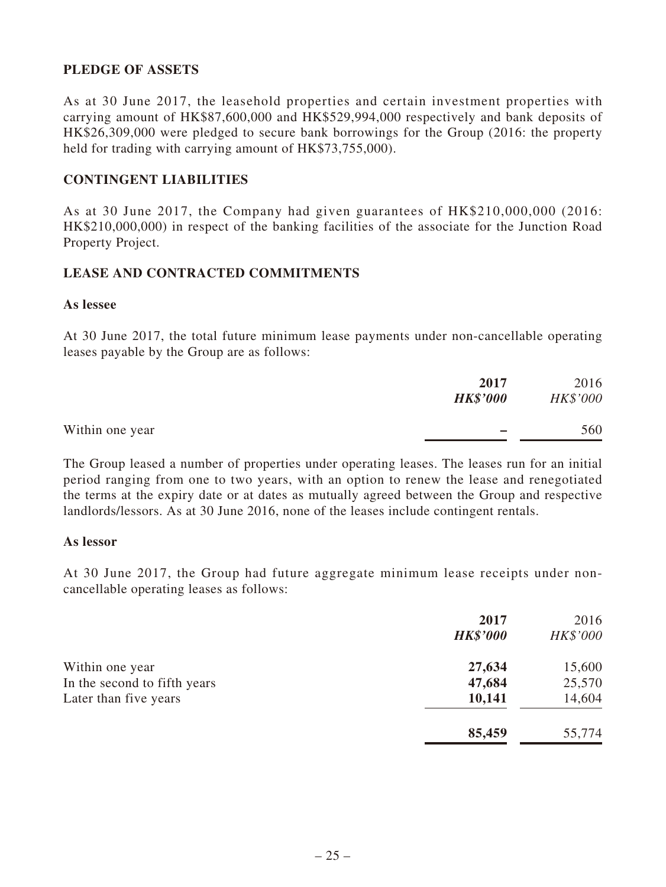### **PLEDGE OF ASSETS**

As at 30 June 2017, the leasehold properties and certain investment properties with carrying amount of HK\$87,600,000 and HK\$529,994,000 respectively and bank deposits of HK\$26,309,000 were pledged to secure bank borrowings for the Group (2016: the property held for trading with carrying amount of HK\$73,755,000).

#### **CONTINGENT LIABILITIES**

As at 30 June 2017, the Company had given guarantees of HK\$210,000,000 (2016: HK\$210,000,000) in respect of the banking facilities of the associate for the Junction Road Property Project.

#### **LEASE AND CONTRACTED COMMITMENTS**

#### **As lessee**

At 30 June 2017, the total future minimum lease payments under non-cancellable operating leases payable by the Group are as follows:

|                 | 2017            | 2016     |
|-----------------|-----------------|----------|
|                 | <b>HK\$'000</b> | HK\$'000 |
| Within one year | -               | 560      |
|                 |                 |          |

The Group leased a number of properties under operating leases. The leases run for an initial period ranging from one to two years, with an option to renew the lease and renegotiated the terms at the expiry date or at dates as mutually agreed between the Group and respective landlords/lessors. As at 30 June 2016, none of the leases include contingent rentals.

#### **As lessor**

At 30 June 2017, the Group had future aggregate minimum lease receipts under noncancellable operating leases as follows:

|                              | 2017<br><b>HK\$'000</b> | 2016<br>HK\$'000 |
|------------------------------|-------------------------|------------------|
| Within one year              | 27,634                  | 15,600           |
| In the second to fifth years | 47,684                  | 25,570           |
| Later than five years        | 10,141                  | 14,604           |
|                              | 85,459                  | 55,774           |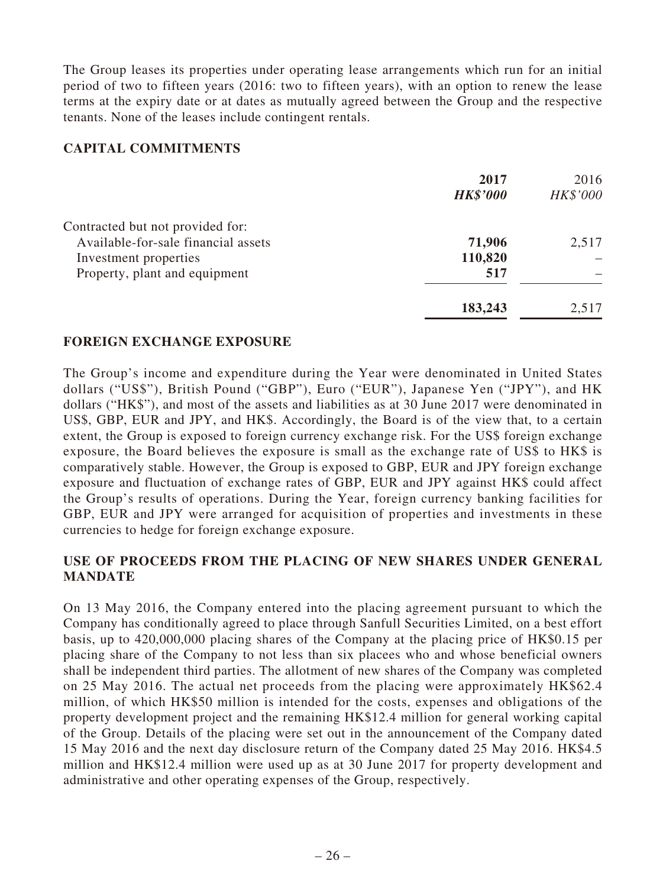The Group leases its properties under operating lease arrangements which run for an initial period of two to fifteen years (2016: two to fifteen years), with an option to renew the lease terms at the expiry date or at dates as mutually agreed between the Group and the respective tenants. None of the leases include contingent rentals.

#### **CAPITAL COMMITMENTS**

|                                     | 2017<br><b>HK\$'000</b> | 2016<br>HK\$'000 |
|-------------------------------------|-------------------------|------------------|
| Contracted but not provided for:    |                         |                  |
| Available-for-sale financial assets | 71,906                  | 2,517            |
| Investment properties               | 110,820                 |                  |
| Property, plant and equipment       | 517                     |                  |
|                                     | 183,243                 | 2,517            |

#### **FOREIGN EXCHANGE EXPOSURE**

The Group's income and expenditure during the Year were denominated in United States dollars ("US\$"), British Pound ("GBP"), Euro ("EUR"), Japanese Yen ("JPY"), and HK dollars ("HK\$"), and most of the assets and liabilities as at 30 June 2017 were denominated in US\$, GBP, EUR and JPY, and HK\$. Accordingly, the Board is of the view that, to a certain extent, the Group is exposed to foreign currency exchange risk. For the US\$ foreign exchange exposure, the Board believes the exposure is small as the exchange rate of US\$ to HK\$ is comparatively stable. However, the Group is exposed to GBP, EUR and JPY foreign exchange exposure and fluctuation of exchange rates of GBP, EUR and JPY against HK\$ could affect the Group's results of operations. During the Year, foreign currency banking facilities for GBP, EUR and JPY were arranged for acquisition of properties and investments in these currencies to hedge for foreign exchange exposure.

### **USE OF PROCEEDS FROM THE PLACING OF NEW SHARES UNDER GENERAL MANDATE**

On 13 May 2016, the Company entered into the placing agreement pursuant to which the Company has conditionally agreed to place through Sanfull Securities Limited, on a best effort basis, up to 420,000,000 placing shares of the Company at the placing price of HK\$0.15 per placing share of the Company to not less than six placees who and whose beneficial owners shall be independent third parties. The allotment of new shares of the Company was completed on 25 May 2016. The actual net proceeds from the placing were approximately HK\$62.4 million, of which HK\$50 million is intended for the costs, expenses and obligations of the property development project and the remaining HK\$12.4 million for general working capital of the Group. Details of the placing were set out in the announcement of the Company dated 15 May 2016 and the next day disclosure return of the Company dated 25 May 2016. HK\$4.5 million and HK\$12.4 million were used up as at 30 June 2017 for property development and administrative and other operating expenses of the Group, respectively.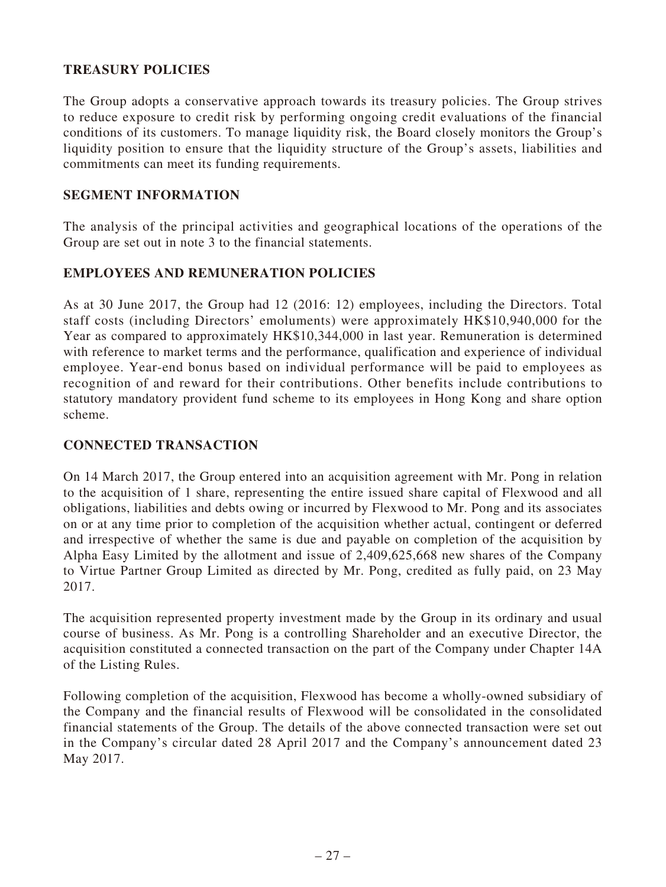### **TREASURY POLICIES**

The Group adopts a conservative approach towards its treasury policies. The Group strives to reduce exposure to credit risk by performing ongoing credit evaluations of the financial conditions of its customers. To manage liquidity risk, the Board closely monitors the Group's liquidity position to ensure that the liquidity structure of the Group's assets, liabilities and commitments can meet its funding requirements.

### **SEGMENT INFORMATION**

The analysis of the principal activities and geographical locations of the operations of the Group are set out in note 3 to the financial statements.

### **EMPLOYEES AND REMUNERATION POLICIES**

As at 30 June 2017, the Group had 12 (2016: 12) employees, including the Directors. Total staff costs (including Directors' emoluments) were approximately HK\$10,940,000 for the Year as compared to approximately HK\$10,344,000 in last year. Remuneration is determined with reference to market terms and the performance, qualification and experience of individual employee. Year-end bonus based on individual performance will be paid to employees as recognition of and reward for their contributions. Other benefits include contributions to statutory mandatory provident fund scheme to its employees in Hong Kong and share option scheme.

### **CONNECTED TRANSACTION**

On 14 March 2017, the Group entered into an acquisition agreement with Mr. Pong in relation to the acquisition of 1 share, representing the entire issued share capital of Flexwood and all obligations, liabilities and debts owing or incurred by Flexwood to Mr. Pong and its associates on or at any time prior to completion of the acquisition whether actual, contingent or deferred and irrespective of whether the same is due and payable on completion of the acquisition by Alpha Easy Limited by the allotment and issue of 2,409,625,668 new shares of the Company to Virtue Partner Group Limited as directed by Mr. Pong, credited as fully paid, on 23 May 2017.

The acquisition represented property investment made by the Group in its ordinary and usual course of business. As Mr. Pong is a controlling Shareholder and an executive Director, the acquisition constituted a connected transaction on the part of the Company under Chapter 14A of the Listing Rules.

Following completion of the acquisition, Flexwood has become a wholly-owned subsidiary of the Company and the financial results of Flexwood will be consolidated in the consolidated financial statements of the Group. The details of the above connected transaction were set out in the Company's circular dated 28 April 2017 and the Company's announcement dated 23 May 2017.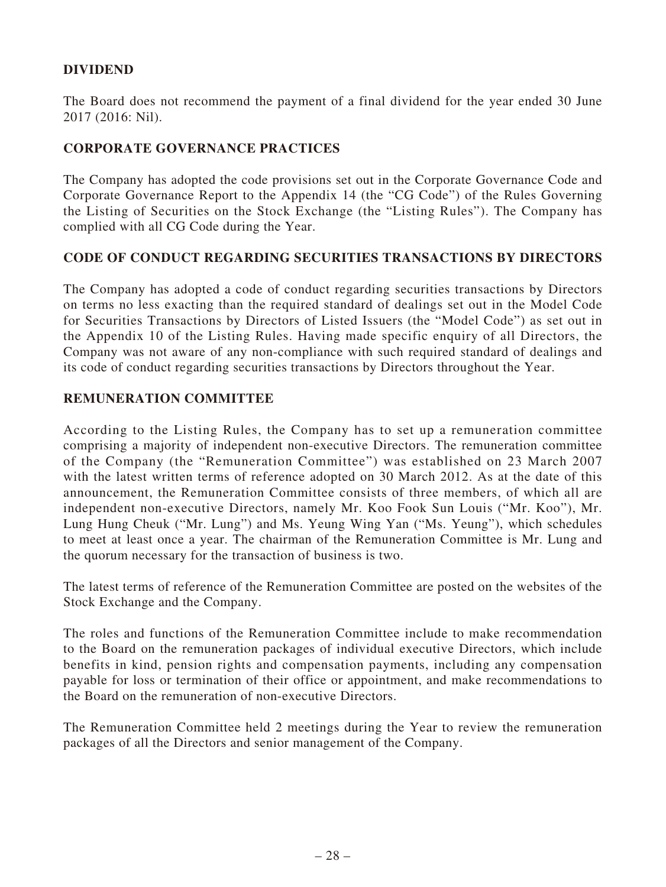### **DIVIDEND**

The Board does not recommend the payment of a final dividend for the year ended 30 June 2017 (2016: Nil).

### **CORPORATE GOVERNANCE PRACTICES**

The Company has adopted the code provisions set out in the Corporate Governance Code and Corporate Governance Report to the Appendix 14 (the "CG Code") of the Rules Governing the Listing of Securities on the Stock Exchange (the "Listing Rules"). The Company has complied with all CG Code during the Year.

#### **CODE OF CONDUCT REGARDING SECURITIES TRANSACTIONS BY DIRECTORS**

The Company has adopted a code of conduct regarding securities transactions by Directors on terms no less exacting than the required standard of dealings set out in the Model Code for Securities Transactions by Directors of Listed Issuers (the "Model Code") as set out in the Appendix 10 of the Listing Rules. Having made specific enquiry of all Directors, the Company was not aware of any non-compliance with such required standard of dealings and its code of conduct regarding securities transactions by Directors throughout the Year.

#### **REMUNERATION COMMITTEE**

According to the Listing Rules, the Company has to set up a remuneration committee comprising a majority of independent non-executive Directors. The remuneration committee of the Company (the "Remuneration Committee") was established on 23 March 2007 with the latest written terms of reference adopted on 30 March 2012. As at the date of this announcement, the Remuneration Committee consists of three members, of which all are independent non-executive Directors, namely Mr. Koo Fook Sun Louis ("Mr. Koo"), Mr. Lung Hung Cheuk ("Mr. Lung") and Ms. Yeung Wing Yan ("Ms. Yeung"), which schedules to meet at least once a year. The chairman of the Remuneration Committee is Mr. Lung and the quorum necessary for the transaction of business is two.

The latest terms of reference of the Remuneration Committee are posted on the websites of the Stock Exchange and the Company.

The roles and functions of the Remuneration Committee include to make recommendation to the Board on the remuneration packages of individual executive Directors, which include benefits in kind, pension rights and compensation payments, including any compensation payable for loss or termination of their office or appointment, and make recommendations to the Board on the remuneration of non-executive Directors.

The Remuneration Committee held 2 meetings during the Year to review the remuneration packages of all the Directors and senior management of the Company.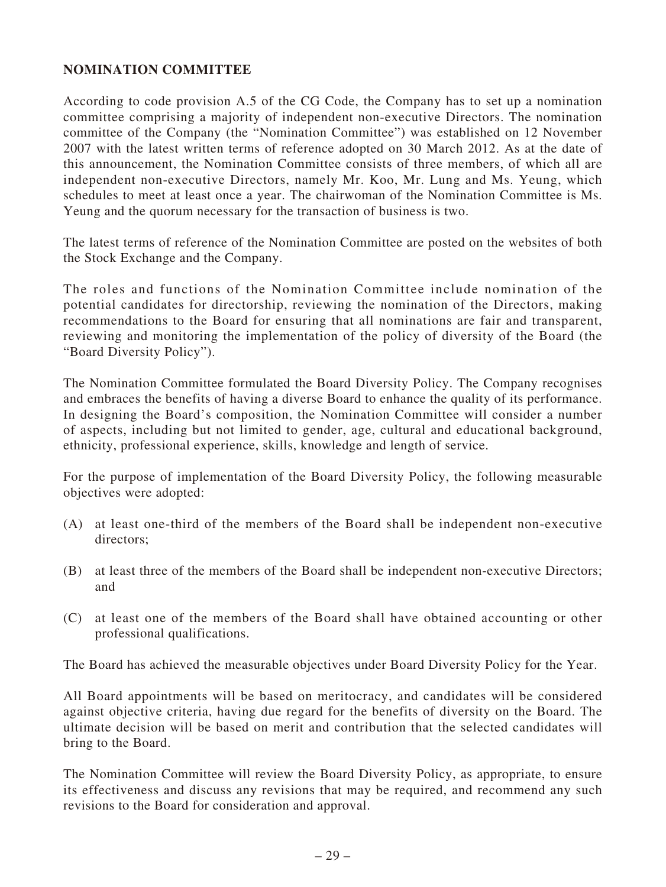### **NOMINATION COMMITTEE**

According to code provision A.5 of the CG Code, the Company has to set up a nomination committee comprising a majority of independent non-executive Directors. The nomination committee of the Company (the "Nomination Committee") was established on 12 November 2007 with the latest written terms of reference adopted on 30 March 2012. As at the date of this announcement, the Nomination Committee consists of three members, of which all are independent non-executive Directors, namely Mr. Koo, Mr. Lung and Ms. Yeung, which schedules to meet at least once a year. The chairwoman of the Nomination Committee is Ms. Yeung and the quorum necessary for the transaction of business is two.

The latest terms of reference of the Nomination Committee are posted on the websites of both the Stock Exchange and the Company.

The roles and functions of the Nomination Committee include nomination of the potential candidates for directorship, reviewing the nomination of the Directors, making recommendations to the Board for ensuring that all nominations are fair and transparent, reviewing and monitoring the implementation of the policy of diversity of the Board (the "Board Diversity Policy").

The Nomination Committee formulated the Board Diversity Policy. The Company recognises and embraces the benefits of having a diverse Board to enhance the quality of its performance. In designing the Board's composition, the Nomination Committee will consider a number of aspects, including but not limited to gender, age, cultural and educational background, ethnicity, professional experience, skills, knowledge and length of service.

For the purpose of implementation of the Board Diversity Policy, the following measurable objectives were adopted:

- (A) at least one-third of the members of the Board shall be independent non-executive directors;
- (B) at least three of the members of the Board shall be independent non-executive Directors; and
- (C) at least one of the members of the Board shall have obtained accounting or other professional qualifications.

The Board has achieved the measurable objectives under Board Diversity Policy for the Year.

All Board appointments will be based on meritocracy, and candidates will be considered against objective criteria, having due regard for the benefits of diversity on the Board. The ultimate decision will be based on merit and contribution that the selected candidates will bring to the Board.

The Nomination Committee will review the Board Diversity Policy, as appropriate, to ensure its effectiveness and discuss any revisions that may be required, and recommend any such revisions to the Board for consideration and approval.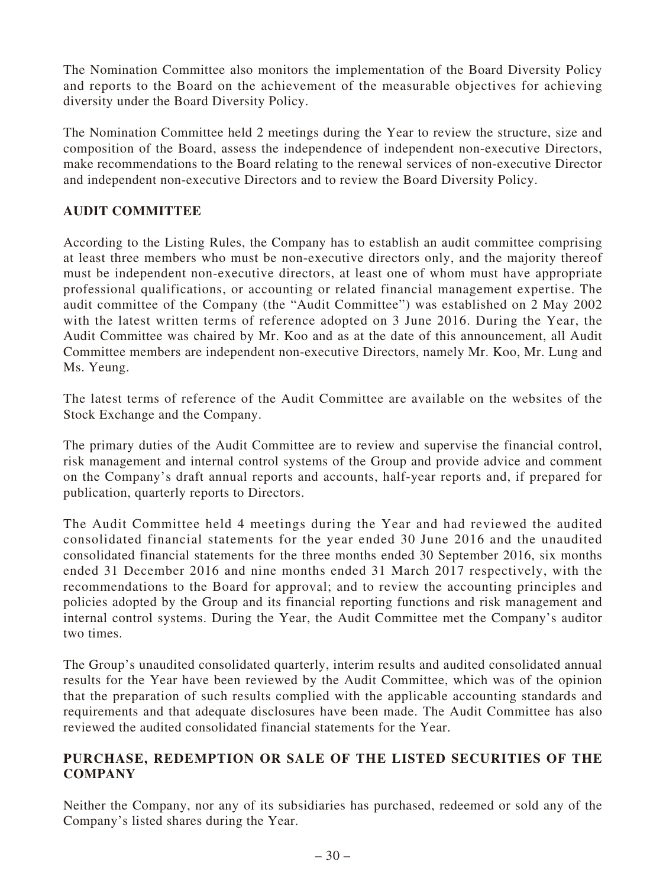The Nomination Committee also monitors the implementation of the Board Diversity Policy and reports to the Board on the achievement of the measurable objectives for achieving diversity under the Board Diversity Policy.

The Nomination Committee held 2 meetings during the Year to review the structure, size and composition of the Board, assess the independence of independent non-executive Directors, make recommendations to the Board relating to the renewal services of non-executive Director and independent non-executive Directors and to review the Board Diversity Policy.

### **AUDIT COMMITTEE**

According to the Listing Rules, the Company has to establish an audit committee comprising at least three members who must be non-executive directors only, and the majority thereof must be independent non-executive directors, at least one of whom must have appropriate professional qualifications, or accounting or related financial management expertise. The audit committee of the Company (the "Audit Committee") was established on 2 May 2002 with the latest written terms of reference adopted on 3 June 2016. During the Year, the Audit Committee was chaired by Mr. Koo and as at the date of this announcement, all Audit Committee members are independent non-executive Directors, namely Mr. Koo, Mr. Lung and Ms. Yeung.

The latest terms of reference of the Audit Committee are available on the websites of the Stock Exchange and the Company.

The primary duties of the Audit Committee are to review and supervise the financial control, risk management and internal control systems of the Group and provide advice and comment on the Company's draft annual reports and accounts, half-year reports and, if prepared for publication, quarterly reports to Directors.

The Audit Committee held 4 meetings during the Year and had reviewed the audited consolidated financial statements for the year ended 30 June 2016 and the unaudited consolidated financial statements for the three months ended 30 September 2016, six months ended 31 December 2016 and nine months ended 31 March 2017 respectively, with the recommendations to the Board for approval; and to review the accounting principles and policies adopted by the Group and its financial reporting functions and risk management and internal control systems. During the Year, the Audit Committee met the Company's auditor two times.

The Group's unaudited consolidated quarterly, interim results and audited consolidated annual results for the Year have been reviewed by the Audit Committee, which was of the opinion that the preparation of such results complied with the applicable accounting standards and requirements and that adequate disclosures have been made. The Audit Committee has also reviewed the audited consolidated financial statements for the Year.

### **PURCHASE, REDEMPTION OR SALE OF THE LISTED SECURITIES OF THE COMPANY**

Neither the Company, nor any of its subsidiaries has purchased, redeemed or sold any of the Company's listed shares during the Year.